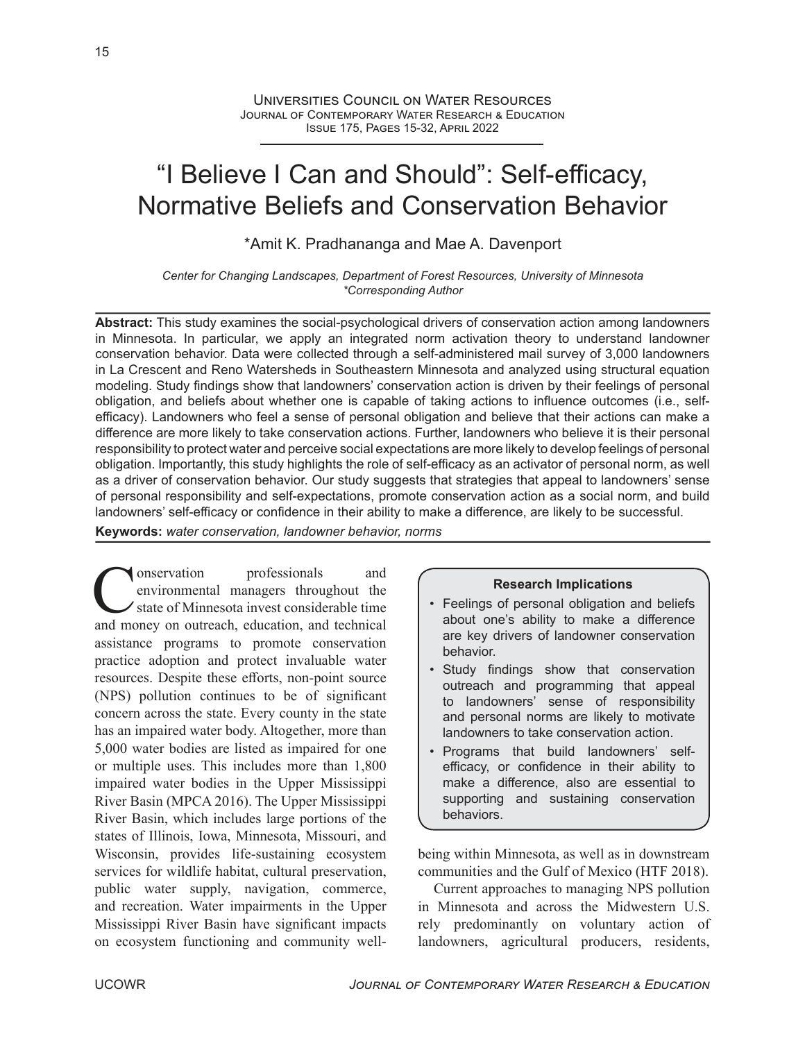# "I Believe I Can and Should": Self-efficacy, Normative Beliefs and Conservation Behavior

\*Amit K. Pradhananga and Mae A. Davenport

*Center for Changing Landscapes, Department of Forest Resources, University of Minnesota \*Corresponding Author*

**Abstract:** This study examines the social-psychological drivers of conservation action among landowners in Minnesota. In particular, we apply an integrated norm activation theory to understand landowner conservation behavior. Data were collected through a self-administered mail survey of 3,000 landowners in La Crescent and Reno Watersheds in Southeastern Minnesota and analyzed using structural equation modeling. Study findings show that landowners' conservation action is driven by their feelings of personal obligation, and beliefs about whether one is capable of taking actions to influence outcomes (i.e., selfefficacy). Landowners who feel a sense of personal obligation and believe that their actions can make a difference are more likely to take conservation actions. Further, landowners who believe it is their personal responsibility to protect water and perceive social expectations are more likely to develop feelings of personal obligation. Importantly, this study highlights the role of self-efficacy as an activator of personal norm, as well as a driver of conservation behavior. Our study suggests that strategies that appeal to landowners' sense of personal responsibility and self-expectations, promote conservation action as a social norm, and build landowners' self-efficacy or confidence in their ability to make a difference, are likely to be successful.

**Keywords:** *water conservation, landowner behavior, norms*

Conservation professionals and environmental managers throughout the state of Minnesota invest considerable time and money on outreach, education, and technical onservation professionals and environmental managers throughout the state of Minnesota invest considerable time assistance programs to promote conservation practice adoption and protect invaluable water resources. Despite these efforts, non-point source (NPS) pollution continues to be of significant concern across the state. Every county in the state has an impaired water body. Altogether, more than 5,000 water bodies are listed as impaired for one or multiple uses. This includes more than 1,800 impaired water bodies in the Upper Mississippi River Basin (MPCA 2016). The Upper Mississippi River Basin, which includes large portions of the states of Illinois, Iowa, Minnesota, Missouri, and Wisconsin, provides life-sustaining ecosystem services for wildlife habitat, cultural preservation, public water supply, navigation, commerce, and recreation. Water impairments in the Upper Mississippi River Basin have significant impacts on ecosystem functioning and community well-

#### **Research Implications**

- Feelings of personal obligation and beliefs about one's ability to make a difference are key drivers of landowner conservation behavior.
- Study findings show that conservation outreach and programming that appeal to landowners' sense of responsibility and personal norms are likely to motivate landowners to take conservation action.
- Programs that build landowners' selfefficacy, or confidence in their ability to make a difference, also are essential to supporting and sustaining conservation behaviors.

being within Minnesota, as well as in downstream communities and the Gulf of Mexico (HTF 2018).

Current approaches to managing NPS pollution in Minnesota and across the Midwestern U.S. rely predominantly on voluntary action of landowners, agricultural producers, residents,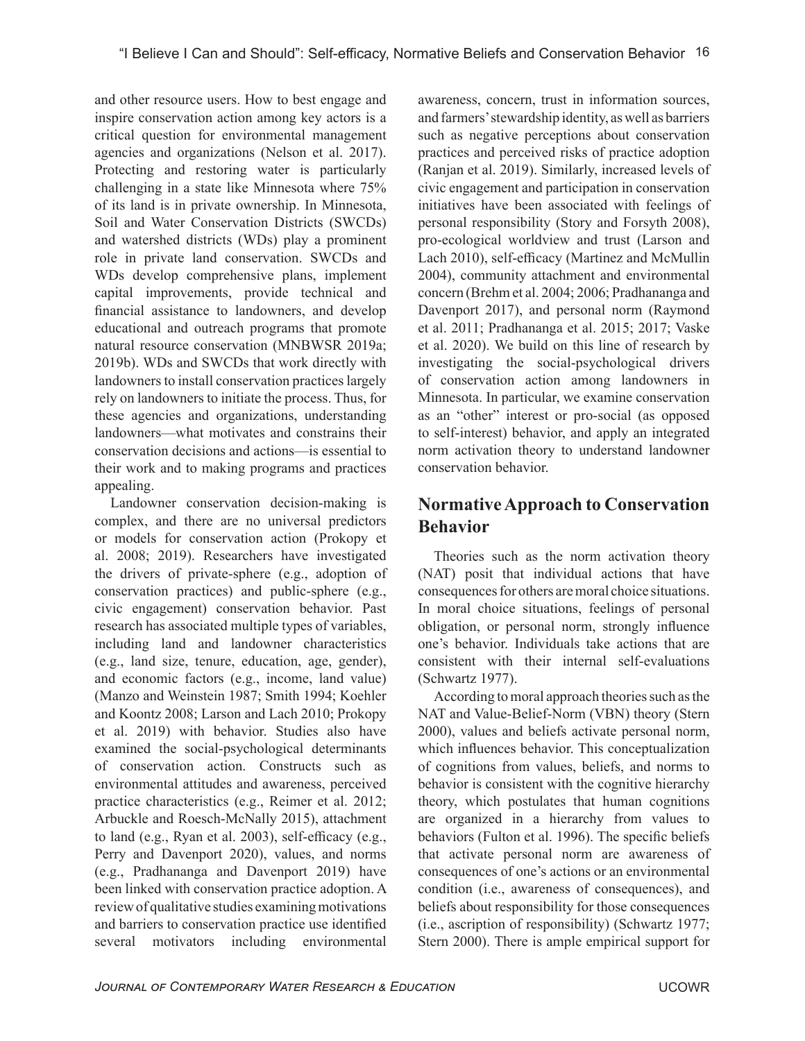and other resource users. How to best engage and inspire conservation action among key actors is a critical question for environmental management agencies and organizations (Nelson et al. 2017). Protecting and restoring water is particularly challenging in a state like Minnesota where 75% of its land is in private ownership. In Minnesota, Soil and Water Conservation Districts (SWCDs) and watershed districts (WDs) play a prominent role in private land conservation. SWCDs and WDs develop comprehensive plans, implement capital improvements, provide technical and financial assistance to landowners, and develop educational and outreach programs that promote natural resource conservation (MNBWSR 2019a; 2019b). WDs and SWCDs that work directly with landowners to install conservation practices largely rely on landowners to initiate the process. Thus, for these agencies and organizations, understanding landowners—what motivates and constrains their conservation decisions and actions—is essential to their work and to making programs and practices appealing.

Landowner conservation decision-making is complex, and there are no universal predictors or models for conservation action (Prokopy et al. 2008; 2019). Researchers have investigated the drivers of private-sphere (e.g., adoption of conservation practices) and public-sphere (e.g., civic engagement) conservation behavior. Past research has associated multiple types of variables, including land and landowner characteristics (e.g., land size, tenure, education, age, gender), and economic factors (e.g., income, land value) (Manzo and Weinstein 1987; Smith 1994; Koehler and Koontz 2008; Larson and Lach 2010; Prokopy et al. 2019) with behavior. Studies also have examined the social-psychological determinants of conservation action. Constructs such as environmental attitudes and awareness, perceived practice characteristics (e.g., Reimer et al. 2012; Arbuckle and Roesch-McNally 2015), attachment to land (e.g., Ryan et al. 2003), self-efficacy (e.g., Perry and Davenport 2020), values, and norms (e.g., Pradhananga and Davenport 2019) have been linked with conservation practice adoption. A review of qualitative studies examining motivations and barriers to conservation practice use identified several motivators including environmental

awareness, concern, trust in information sources, and farmers' stewardship identity, as well as barriers such as negative perceptions about conservation practices and perceived risks of practice adoption (Ranjan et al. 2019). Similarly, increased levels of civic engagement and participation in conservation initiatives have been associated with feelings of personal responsibility (Story and Forsyth 2008), pro-ecological worldview and trust (Larson and Lach 2010), self-efficacy (Martinez and McMullin 2004), community attachment and environmental concern (Brehm et al. 2004; 2006; Pradhananga and Davenport 2017), and personal norm (Raymond et al. 2011; Pradhananga et al. 2015; 2017; Vaske et al. 2020). We build on this line of research by investigating the social-psychological drivers of conservation action among landowners in Minnesota. In particular, we examine conservation as an "other" interest or pro-social (as opposed to self-interest) behavior, and apply an integrated norm activation theory to understand landowner conservation behavior.

# **Normative Approach to Conservation Behavior**

Theories such as the norm activation theory (NAT) posit that individual actions that have consequences for others are moral choice situations. In moral choice situations, feelings of personal obligation, or personal norm, strongly influence one's behavior. Individuals take actions that are consistent with their internal self-evaluations (Schwartz 1977).

According to moral approach theories such as the NAT and Value-Belief-Norm (VBN) theory (Stern 2000), values and beliefs activate personal norm, which influences behavior. This conceptualization of cognitions from values, beliefs, and norms to behavior is consistent with the cognitive hierarchy theory, which postulates that human cognitions are organized in a hierarchy from values to behaviors (Fulton et al. 1996). The specific beliefs that activate personal norm are awareness of consequences of one's actions or an environmental condition (i.e., awareness of consequences), and beliefs about responsibility for those consequences (i.e., ascription of responsibility) (Schwartz 1977; Stern 2000). There is ample empirical support for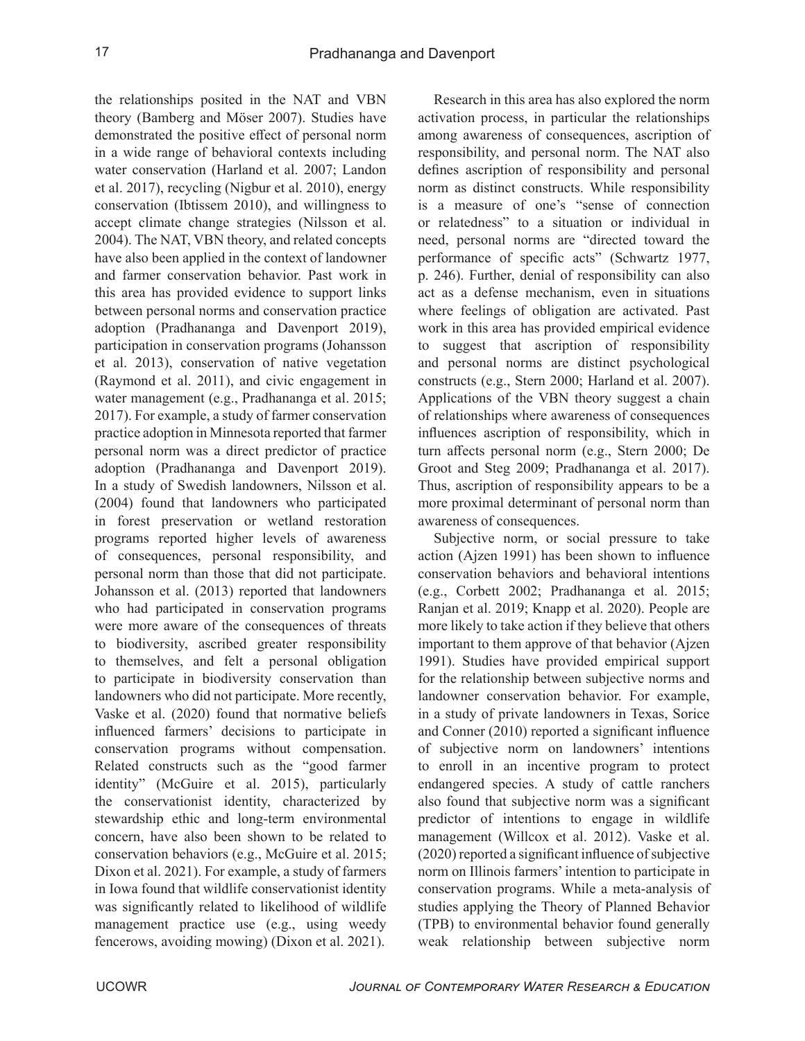the relationships posited in the NAT and VBN theory (Bamberg and Möser 2007). Studies have demonstrated the positive effect of personal norm in a wide range of behavioral contexts including water conservation (Harland et al. 2007; Landon et al. 2017), recycling (Nigbur et al. 2010), energy conservation (Ibtissem 2010), and willingness to accept climate change strategies (Nilsson et al. 2004). The NAT, VBN theory, and related concepts have also been applied in the context of landowner and farmer conservation behavior. Past work in this area has provided evidence to support links between personal norms and conservation practice adoption (Pradhananga and Davenport 2019), participation in conservation programs (Johansson et al. 2013), conservation of native vegetation (Raymond et al. 2011), and civic engagement in water management (e.g., Pradhananga et al. 2015; 2017). For example, a study of farmer conservation practice adoption in Minnesota reported that farmer personal norm was a direct predictor of practice adoption (Pradhananga and Davenport 2019). In a study of Swedish landowners, Nilsson et al. (2004) found that landowners who participated in forest preservation or wetland restoration programs reported higher levels of awareness of consequences, personal responsibility, and personal norm than those that did not participate. Johansson et al. (2013) reported that landowners who had participated in conservation programs were more aware of the consequences of threats to biodiversity, ascribed greater responsibility to themselves, and felt a personal obligation to participate in biodiversity conservation than landowners who did not participate. More recently, Vaske et al. (2020) found that normative beliefs influenced farmers' decisions to participate in conservation programs without compensation. Related constructs such as the "good farmer identity" (McGuire et al. 2015), particularly the conservationist identity, characterized by stewardship ethic and long-term environmental concern, have also been shown to be related to conservation behaviors (e.g., McGuire et al. 2015; Dixon et al. 2021). For example, a study of farmers in Iowa found that wildlife conservationist identity was significantly related to likelihood of wildlife management practice use (e.g., using weedy fencerows, avoiding mowing) (Dixon et al. 2021).

Research in this area has also explored the norm activation process, in particular the relationships among awareness of consequences, ascription of responsibility, and personal norm. The NAT also defines ascription of responsibility and personal norm as distinct constructs. While responsibility is a measure of one's "sense of connection or relatedness" to a situation or individual in need, personal norms are "directed toward the performance of specific acts" (Schwartz 1977, p. 246). Further, denial of responsibility can also act as a defense mechanism, even in situations where feelings of obligation are activated. Past work in this area has provided empirical evidence to suggest that ascription of responsibility and personal norms are distinct psychological constructs (e.g., Stern 2000; Harland et al. 2007). Applications of the VBN theory suggest a chain of relationships where awareness of consequences influences ascription of responsibility, which in turn affects personal norm (e.g., Stern 2000; De Groot and Steg 2009; Pradhananga et al. 2017). Thus, ascription of responsibility appears to be a more proximal determinant of personal norm than awareness of consequences.

Subjective norm, or social pressure to take action (Ajzen 1991) has been shown to influence conservation behaviors and behavioral intentions (e.g., Corbett 2002; Pradhananga et al. 2015; Ranjan et al. 2019; Knapp et al. 2020). People are more likely to take action if they believe that others important to them approve of that behavior (Ajzen 1991). Studies have provided empirical support for the relationship between subjective norms and landowner conservation behavior. For example, in a study of private landowners in Texas, Sorice and Conner (2010) reported a significant influence of subjective norm on landowners' intentions to enroll in an incentive program to protect endangered species. A study of cattle ranchers also found that subjective norm was a significant predictor of intentions to engage in wildlife management (Willcox et al. 2012). Vaske et al. (2020) reported a significant influence of subjective norm on Illinois farmers' intention to participate in conservation programs. While a meta-analysis of studies applying the Theory of Planned Behavior (TPB) to environmental behavior found generally weak relationship between subjective norm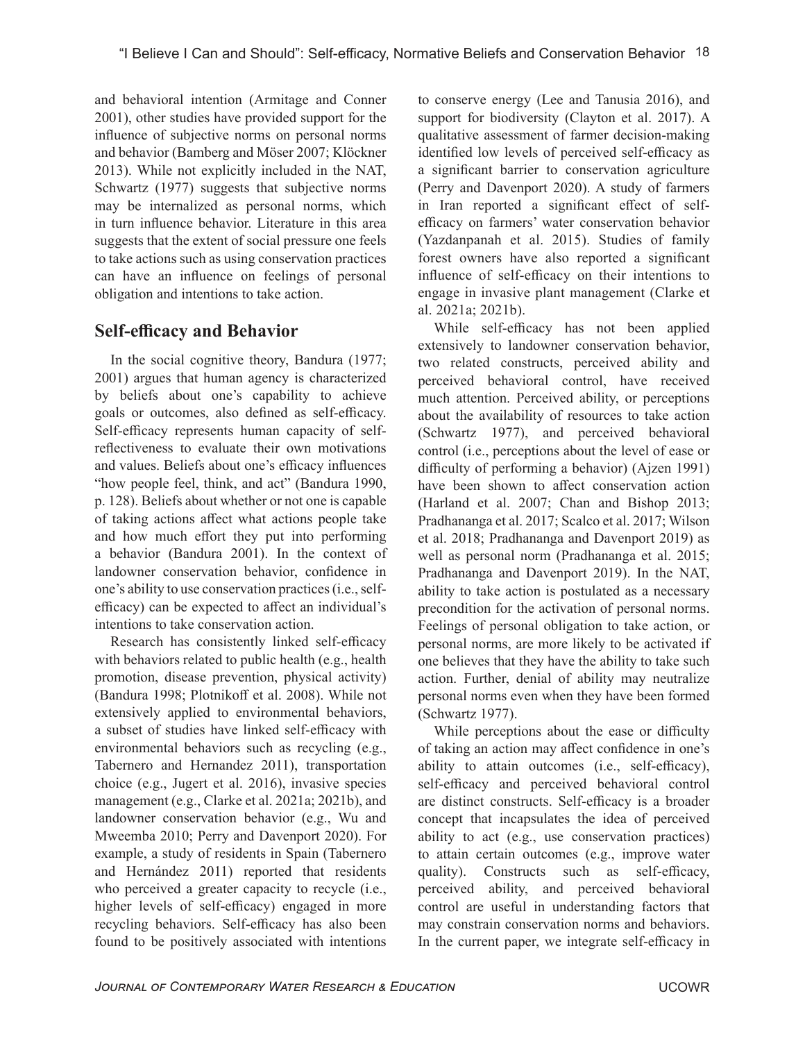and behavioral intention (Armitage and Conner 2001), other studies have provided support for the influence of subjective norms on personal norms and behavior (Bamberg and Möser 2007; Klöckner 2013). While not explicitly included in the NAT, Schwartz (1977) suggests that subjective norms may be internalized as personal norms, which in turn influence behavior. Literature in this area suggests that the extent of social pressure one feels to take actions such as using conservation practices can have an influence on feelings of personal obligation and intentions to take action.

# **Self-efficacy and Behavior**

In the social cognitive theory, Bandura (1977; 2001) argues that human agency is characterized by beliefs about one's capability to achieve goals or outcomes, also defined as self-efficacy. Self-efficacy represents human capacity of selfreflectiveness to evaluate their own motivations and values. Beliefs about one's efficacy influences "how people feel, think, and act" (Bandura 1990, p. 128). Beliefs about whether or not one is capable of taking actions affect what actions people take and how much effort they put into performing a behavior (Bandura 2001). In the context of landowner conservation behavior, confidence in one's ability to use conservation practices (i.e., selfefficacy) can be expected to affect an individual's intentions to take conservation action.

Research has consistently linked self-efficacy with behaviors related to public health (e.g., health promotion, disease prevention, physical activity) (Bandura 1998; Plotnikoff et al. 2008). While not extensively applied to environmental behaviors, a subset of studies have linked self-efficacy with environmental behaviors such as recycling (e.g., Tabernero and Hernandez 2011), transportation choice (e.g., Jugert et al. 2016), invasive species management (e.g., Clarke et al. 2021a; 2021b), and landowner conservation behavior (e.g., Wu and Mweemba 2010; Perry and Davenport 2020). For example, a study of residents in Spain (Tabernero and Hernández 2011) reported that residents who perceived a greater capacity to recycle (i.e., higher levels of self-efficacy) engaged in more recycling behaviors. Self-efficacy has also been found to be positively associated with intentions

to conserve energy (Lee and Tanusia 2016), and support for biodiversity (Clayton et al. 2017). A qualitative assessment of farmer decision-making identified low levels of perceived self-efficacy as a significant barrier to conservation agriculture (Perry and Davenport 2020). A study of farmers in Iran reported a significant effect of selfefficacy on farmers' water conservation behavior (Yazdanpanah et al. 2015). Studies of family forest owners have also reported a significant influence of self-efficacy on their intentions to engage in invasive plant management (Clarke et al. 2021a; 2021b).

While self-efficacy has not been applied extensively to landowner conservation behavior, two related constructs, perceived ability and perceived behavioral control, have received much attention. Perceived ability, or perceptions about the availability of resources to take action (Schwartz 1977), and perceived behavioral control (i.e., perceptions about the level of ease or difficulty of performing a behavior) (Ajzen 1991) have been shown to affect conservation action (Harland et al. 2007; Chan and Bishop 2013; Pradhananga et al. 2017; Scalco et al. 2017; Wilson et al. 2018; Pradhananga and Davenport 2019) as well as personal norm (Pradhananga et al. 2015; Pradhananga and Davenport 2019). In the NAT, ability to take action is postulated as a necessary precondition for the activation of personal norms. Feelings of personal obligation to take action, or personal norms, are more likely to be activated if one believes that they have the ability to take such action. Further, denial of ability may neutralize personal norms even when they have been formed (Schwartz 1977).

While perceptions about the ease or difficulty of taking an action may affect confidence in one's ability to attain outcomes (i.e., self-efficacy), self-efficacy and perceived behavioral control are distinct constructs. Self-efficacy is a broader concept that incapsulates the idea of perceived ability to act (e.g., use conservation practices) to attain certain outcomes (e.g., improve water quality). Constructs such as self-efficacy, perceived ability, and perceived behavioral control are useful in understanding factors that may constrain conservation norms and behaviors. In the current paper, we integrate self-efficacy in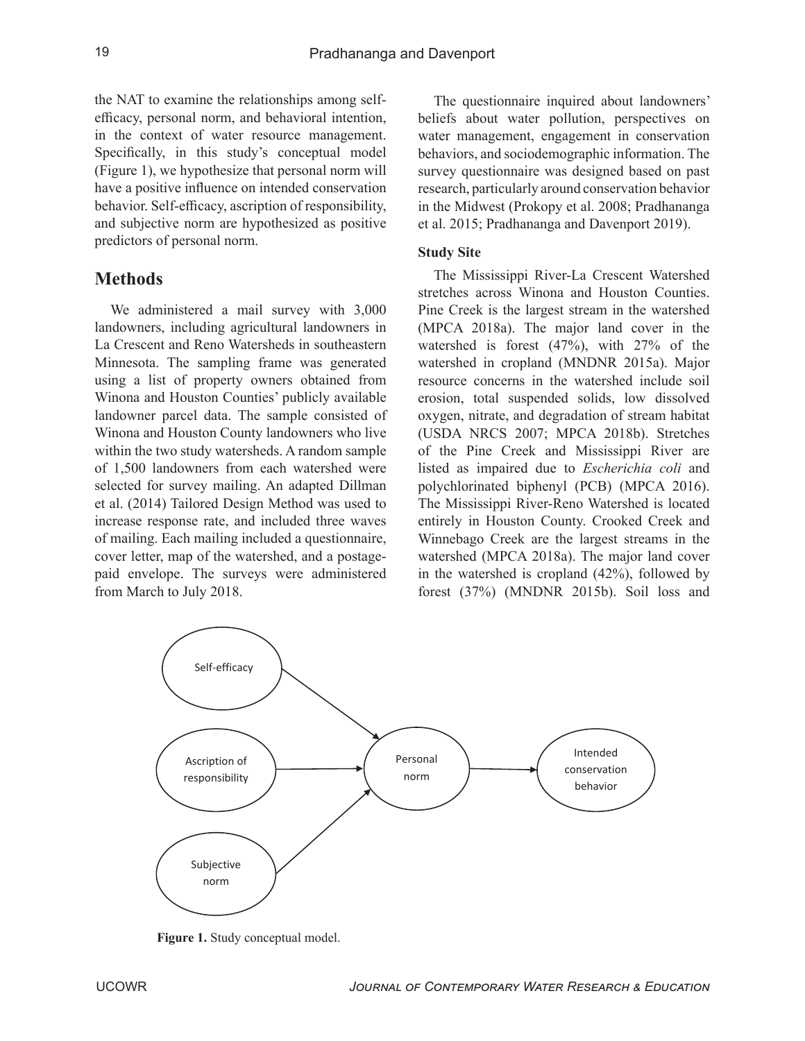the NAT to examine the relationships among selfefficacy, personal norm, and behavioral intention, in the context of water resource management. Specifically, in this study's conceptual model (Figure 1), we hypothesize that personal norm will have a positive influence on intended conservation behavior. Self-efficacy, ascription of responsibility, and subjective norm are hypothesized as positive predictors of personal norm.

## **Methods**

We administered a mail survey with 3,000 landowners, including agricultural landowners in La Crescent and Reno Watersheds in southeastern Minnesota. The sampling frame was generated using a list of property owners obtained from Winona and Houston Counties' publicly available landowner parcel data. The sample consisted of Winona and Houston County landowners who live within the two study watersheds. A random sample of 1,500 landowners from each watershed were selected for survey mailing. An adapted Dillman et al. (2014) Tailored Design Method was used to increase response rate, and included three waves of mailing. Each mailing included a questionnaire, cover letter, map of the watershed, and a postagepaid envelope. The surveys were administered from March to July 2018.

The questionnaire inquired about landowners' beliefs about water pollution, perspectives on water management, engagement in conservation behaviors, and sociodemographic information. The survey questionnaire was designed based on past research, particularly around conservation behavior in the Midwest (Prokopy et al. 2008; Pradhananga et al. 2015; Pradhananga and Davenport 2019).

#### **Study Site**

The Mississippi River-La Crescent Watershed stretches across Winona and Houston Counties. Pine Creek is the largest stream in the watershed (MPCA 2018a). The major land cover in the watershed is forest (47%), with 27% of the watershed in cropland (MNDNR 2015a). Major resource concerns in the watershed include soil erosion, total suspended solids, low dissolved oxygen, nitrate, and degradation of stream habitat (USDA NRCS 2007; MPCA 2018b). Stretches of the Pine Creek and Mississippi River are listed as impaired due to *Escherichia coli* and polychlorinated biphenyl (PCB) (MPCA 2016). The Mississippi River-Reno Watershed is located entirely in Houston County. Crooked Creek and Winnebago Creek are the largest streams in the watershed (MPCA 2018a). The major land cover in the watershed is cropland (42%), followed by forest (37%) (MNDNR 2015b). Soil loss and



**Figure 1.** Study conceptual model.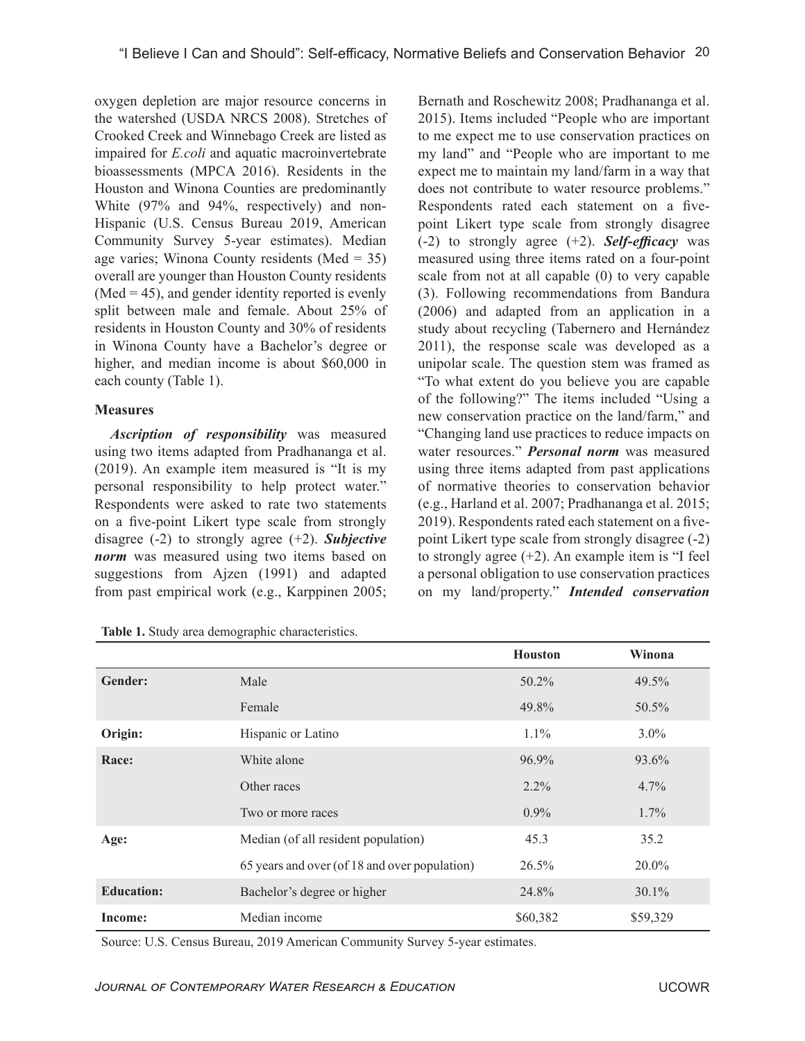oxygen depletion are major resource concerns in the watershed (USDA NRCS 2008). Stretches of Crooked Creek and Winnebago Creek are listed as impaired for *E.coli* and aquatic macroinvertebrate bioassessments (MPCA 2016). Residents in the Houston and Winona Counties are predominantly White (97% and 94%, respectively) and non-Hispanic (U.S. Census Bureau 2019, American Community Survey 5-year estimates). Median age varies; Winona County residents (Med = 35) overall are younger than Houston County residents  $(Med = 45)$ , and gender identity reported is evenly split between male and female. About 25% of residents in Houston County and 30% of residents in Winona County have a Bachelor's degree or higher, and median income is about \$60,000 in each county (Table 1).

#### **Measures**

*Ascription of responsibility* was measured using two items adapted from Pradhananga et al. (2019). An example item measured is "It is my personal responsibility to help protect water." Respondents were asked to rate two statements on a five-point Likert type scale from strongly disagree (-2) to strongly agree (+2). *Subjective norm* was measured using two items based on suggestions from Ajzen (1991) and adapted from past empirical work (e.g., Karppinen 2005;

**Table 1.** Study area demographic characteristics.

Bernath and Roschewitz 2008; Pradhananga et al. 2015). Items included "People who are important to me expect me to use conservation practices on my land" and "People who are important to me expect me to maintain my land/farm in a way that does not contribute to water resource problems." Respondents rated each statement on a fivepoint Likert type scale from strongly disagree (-2) to strongly agree (+2). *Self-efficacy* was measured using three items rated on a four-point scale from not at all capable (0) to very capable (3). Following recommendations from Bandura (2006) and adapted from an application in a study about recycling (Tabernero and Hernández 2011), the response scale was developed as a unipolar scale. The question stem was framed as "To what extent do you believe you are capable of the following?" The items included "Using a new conservation practice on the land/farm," and "Changing land use practices to reduce impacts on water resources." *Personal norm* was measured using three items adapted from past applications of normative theories to conservation behavior (e.g., Harland et al. 2007; Pradhananga et al. 2015; 2019). Respondents rated each statement on a fivepoint Likert type scale from strongly disagree (-2) to strongly agree  $(+2)$ . An example item is "I feel a personal obligation to use conservation practices on my land/property." *Intended conservation* 

|                   |                                               | <b>Houston</b> | Winona   |
|-------------------|-----------------------------------------------|----------------|----------|
| Gender:           | Male                                          | 50.2%          | 49.5%    |
|                   | Female                                        | 49.8%          | $50.5\%$ |
| Origin:           | Hispanic or Latino                            | $1.1\%$        | $3.0\%$  |
| Race:             | White alone                                   | 96.9%          | 93.6%    |
|                   | Other races                                   | $2.2\%$        | $4.7\%$  |
|                   | Two or more races                             | $0.9\%$        | $1.7\%$  |
| Age:              | Median (of all resident population)           | 45.3           | 35.2     |
|                   | 65 years and over (of 18 and over population) | 26.5%          | 20.0%    |
| <b>Education:</b> | Bachelor's degree or higher                   | 24.8%          | $30.1\%$ |
| Income:           | Median income                                 | \$60,382       | \$59,329 |

Source: U.S. Census Bureau, 2019 American Community Survey 5-year estimates.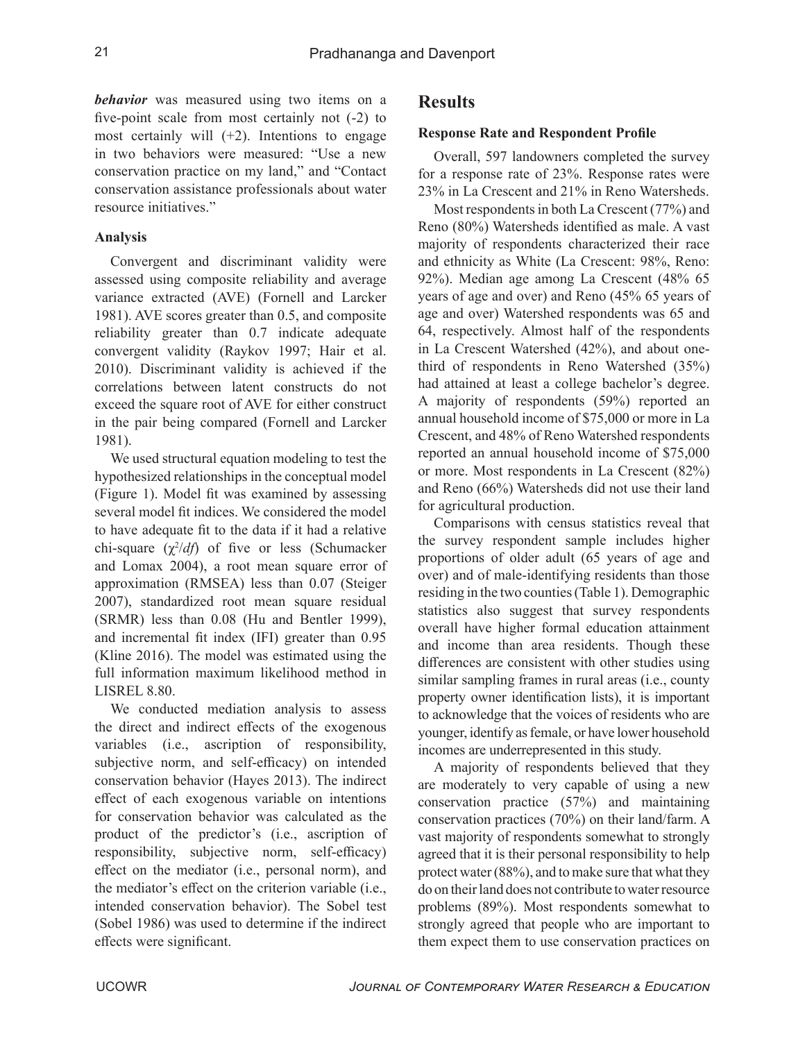*behavior* was measured using two items on a five-point scale from most certainly not (-2) to most certainly will  $(+2)$ . Intentions to engage in two behaviors were measured: "Use a new conservation practice on my land," and "Contact conservation assistance professionals about water resource initiatives."

#### **Analysis**

Convergent and discriminant validity were assessed using composite reliability and average variance extracted (AVE) (Fornell and Larcker 1981). AVE scores greater than 0.5, and composite reliability greater than 0.7 indicate adequate convergent validity (Raykov 1997; Hair et al. 2010). Discriminant validity is achieved if the correlations between latent constructs do not exceed the square root of AVE for either construct in the pair being compared (Fornell and Larcker 1981).

We used structural equation modeling to test the hypothesized relationships in the conceptual model (Figure 1). Model fit was examined by assessing several model fit indices. We considered the model to have adequate fit to the data if it had a relative chi-square (χ<sup>2</sup>/df) of five or less (Schumacker and Lomax 2004), a root mean square error of approximation (RMSEA) less than 0.07 (Steiger 2007), standardized root mean square residual (SRMR) less than 0.08 (Hu and Bentler 1999), and incremental fit index (IFI) greater than 0.95 (Kline 2016). The model was estimated using the full information maximum likelihood method in LISREL 8.80.

We conducted mediation analysis to assess the direct and indirect effects of the exogenous variables (i.e., ascription of responsibility, subjective norm, and self-efficacy) on intended conservation behavior (Hayes 2013). The indirect effect of each exogenous variable on intentions for conservation behavior was calculated as the product of the predictor's (i.e., ascription of responsibility, subjective norm, self-efficacy) effect on the mediator (i.e., personal norm), and the mediator's effect on the criterion variable (i.e., intended conservation behavior). The Sobel test (Sobel 1986) was used to determine if the indirect effects were significant.

## **Results**

#### **Response Rate and Respondent Profile**

Overall, 597 landowners completed the survey for a response rate of 23%. Response rates were 23% in La Crescent and 21% in Reno Watersheds.

Most respondents in both La Crescent (77%) and Reno (80%) Watersheds identified as male. A vast majority of respondents characterized their race and ethnicity as White (La Crescent: 98%, Reno: 92%). Median age among La Crescent (48% 65 years of age and over) and Reno (45% 65 years of age and over) Watershed respondents was 65 and 64, respectively. Almost half of the respondents in La Crescent Watershed (42%), and about onethird of respondents in Reno Watershed (35%) had attained at least a college bachelor's degree. A majority of respondents (59%) reported an annual household income of \$75,000 or more in La Crescent, and 48% of Reno Watershed respondents reported an annual household income of \$75,000 or more. Most respondents in La Crescent (82%) and Reno (66%) Watersheds did not use their land for agricultural production.

Comparisons with census statistics reveal that the survey respondent sample includes higher proportions of older adult (65 years of age and over) and of male-identifying residents than those residing in the two counties (Table 1). Demographic statistics also suggest that survey respondents overall have higher formal education attainment and income than area residents. Though these differences are consistent with other studies using similar sampling frames in rural areas (i.e., county property owner identification lists), it is important to acknowledge that the voices of residents who are younger, identify as female, or have lower household incomes are underrepresented in this study.

A majority of respondents believed that they are moderately to very capable of using a new conservation practice (57%) and maintaining conservation practices (70%) on their land/farm. A vast majority of respondents somewhat to strongly agreed that it is their personal responsibility to help protect water (88%), and to make sure that what they do on their land does not contribute to water resource problems (89%). Most respondents somewhat to strongly agreed that people who are important to them expect them to use conservation practices on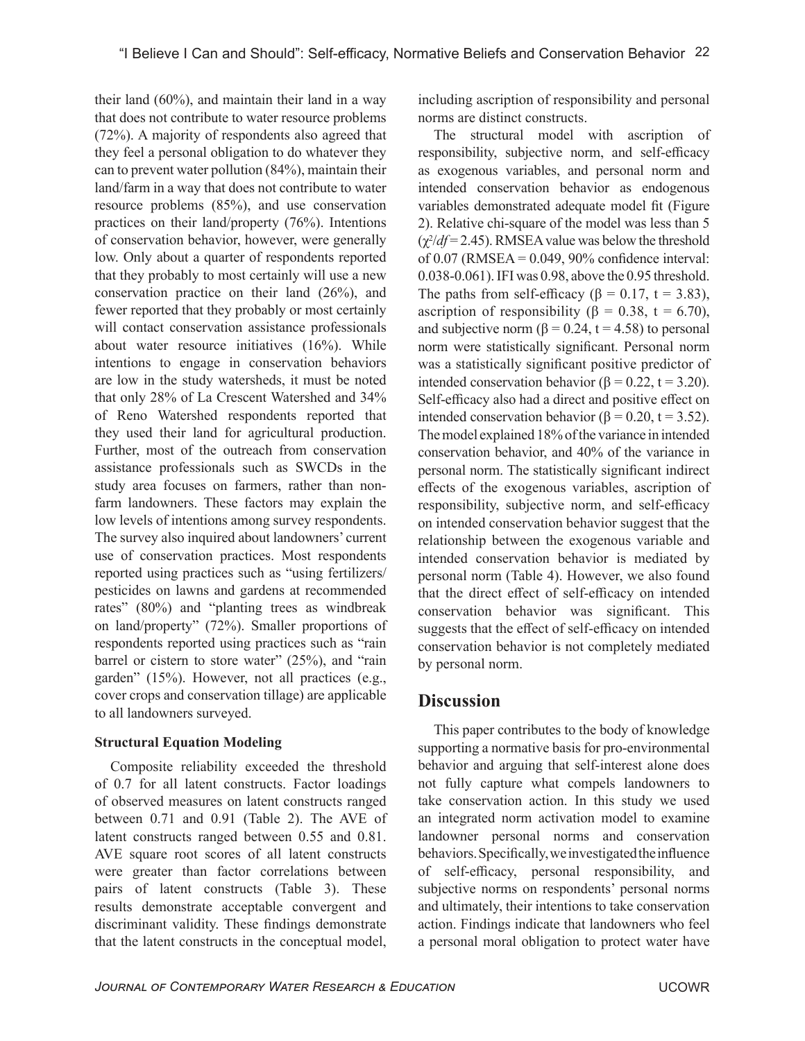their land (60%), and maintain their land in a way that does not contribute to water resource problems (72%). A majority of respondents also agreed that they feel a personal obligation to do whatever they can to prevent water pollution (84%), maintain their land/farm in a way that does not contribute to water resource problems (85%), and use conservation practices on their land/property (76%). Intentions of conservation behavior, however, were generally low. Only about a quarter of respondents reported that they probably to most certainly will use a new conservation practice on their land (26%), and fewer reported that they probably or most certainly will contact conservation assistance professionals about water resource initiatives (16%). While intentions to engage in conservation behaviors are low in the study watersheds, it must be noted that only 28% of La Crescent Watershed and 34% of Reno Watershed respondents reported that they used their land for agricultural production. Further, most of the outreach from conservation assistance professionals such as SWCDs in the study area focuses on farmers, rather than nonfarm landowners. These factors may explain the low levels of intentions among survey respondents. The survey also inquired about landowners' current use of conservation practices. Most respondents reported using practices such as "using fertilizers/ pesticides on lawns and gardens at recommended rates" (80%) and "planting trees as windbreak on land/property" (72%). Smaller proportions of respondents reported using practices such as "rain barrel or cistern to store water" (25%), and "rain garden" (15%). However, not all practices (e.g., cover crops and conservation tillage) are applicable to all landowners surveyed.

#### **Structural Equation Modeling**

Composite reliability exceeded the threshold of 0.7 for all latent constructs. Factor loadings of observed measures on latent constructs ranged between 0.71 and 0.91 (Table 2). The AVE of latent constructs ranged between 0.55 and 0.81. AVE square root scores of all latent constructs were greater than factor correlations between pairs of latent constructs (Table 3). These results demonstrate acceptable convergent and discriminant validity. These findings demonstrate that the latent constructs in the conceptual model,

including ascription of responsibility and personal norms are distinct constructs.

The structural model with ascription of responsibility, subjective norm, and self-efficacy as exogenous variables, and personal norm and intended conservation behavior as endogenous variables demonstrated adequate model fit (Figure 2). Relative chi-square of the model was less than 5  $(\chi^2/df = 2.45)$ . RMSEA value was below the threshold of  $0.07$  (RMSEA =  $0.049$ ,  $90\%$  confidence interval: 0.038-0.061). IFI was 0.98, above the 0.95 threshold. The paths from self-efficacy ( $\beta$  = 0.17, t = 3.83), ascription of responsibility ( $\beta = 0.38$ , t = 6.70), and subjective norm  $(β = 0.24, t = 4.58)$  to personal norm were statistically significant. Personal norm was a statistically significant positive predictor of intended conservation behavior (β = 0.22, t = 3.20). Self-efficacy also had a direct and positive effect on intended conservation behavior (β = 0.20, t = 3.52). The model explained 18% of the variance in intended conservation behavior, and 40% of the variance in personal norm. The statistically significant indirect effects of the exogenous variables, ascription of responsibility, subjective norm, and self-efficacy on intended conservation behavior suggest that the relationship between the exogenous variable and intended conservation behavior is mediated by personal norm (Table 4). However, we also found that the direct effect of self-efficacy on intended conservation behavior was significant. This suggests that the effect of self-efficacy on intended conservation behavior is not completely mediated by personal norm.

## **Discussion**

This paper contributes to the body of knowledge supporting a normative basis for pro-environmental behavior and arguing that self-interest alone does not fully capture what compels landowners to take conservation action. In this study we used an integrated norm activation model to examine landowner personal norms and conservation behaviors. Specifically, we investigated the influence of self-efficacy, personal responsibility, and subjective norms on respondents' personal norms and ultimately, their intentions to take conservation action. Findings indicate that landowners who feel a personal moral obligation to protect water have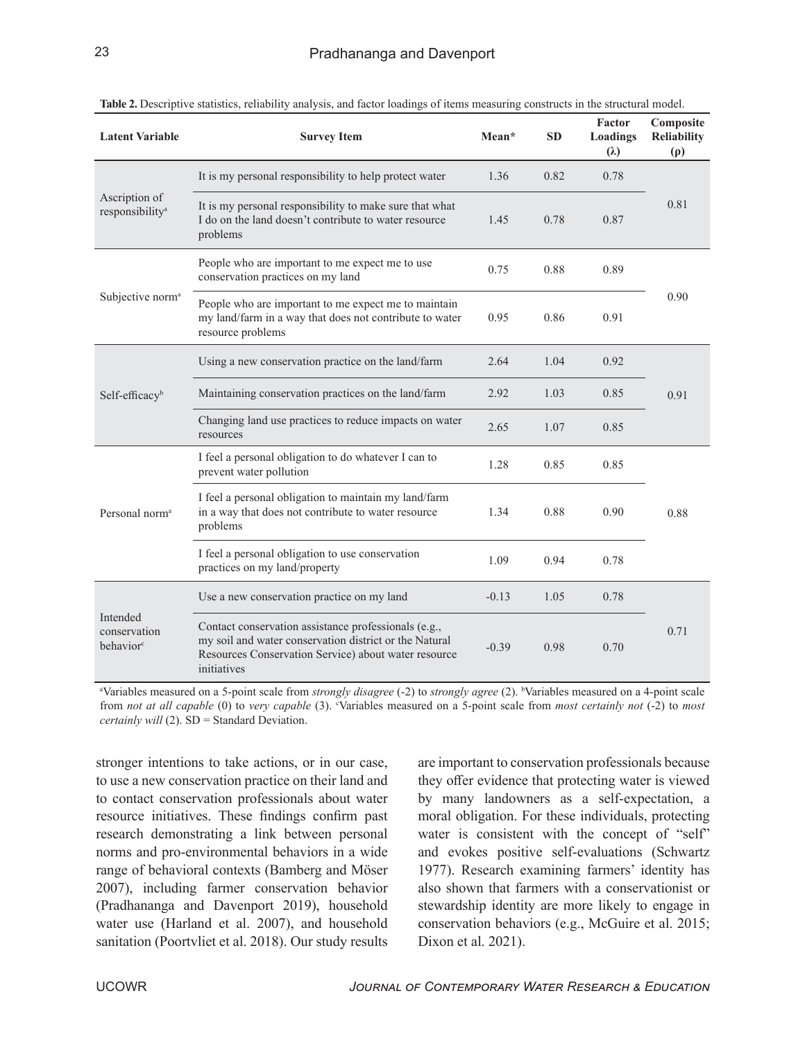| <b>Latent Variable</b>                            | <b>Survey Item</b>                                                                                                                                                                    | Mean*   | <b>SD</b> | Factor<br>Loadings<br>$(\lambda)$ | Composite<br><b>Reliability</b><br>$(\rho)$ |
|---------------------------------------------------|---------------------------------------------------------------------------------------------------------------------------------------------------------------------------------------|---------|-----------|-----------------------------------|---------------------------------------------|
|                                                   | It is my personal responsibility to help protect water                                                                                                                                | 1.36    | 0.82      | 0.78                              |                                             |
| Ascription of<br>responsibility <sup>a</sup>      | It is my personal responsibility to make sure that what<br>I do on the land doesn't contribute to water resource<br>problems                                                          | 1.45    | 0.78      | 0.87                              | 0.81                                        |
| Subjective norm <sup>a</sup>                      | People who are important to me expect me to use<br>conservation practices on my land                                                                                                  | 0.75    | 0.88      | 0.89                              |                                             |
|                                                   | People who are important to me expect me to maintain<br>my land/farm in a way that does not contribute to water<br>resource problems                                                  | 0.95    | 0.86      | 0.91                              | 0.90                                        |
| Self-efficacy <sup>b</sup>                        | Using a new conservation practice on the land/farm                                                                                                                                    | 2.64    | 1.04      | 0.92                              |                                             |
|                                                   | Maintaining conservation practices on the land/farm                                                                                                                                   | 2.92    | 1.03      | 0.85                              | 0.91                                        |
|                                                   | Changing land use practices to reduce impacts on water<br>resources                                                                                                                   | 2.65    | 1.07      | 0.85                              |                                             |
| Personal norm <sup>a</sup>                        | I feel a personal obligation to do whatever I can to<br>prevent water pollution                                                                                                       | 1.28    | 0.85      | 0.85                              |                                             |
|                                                   | I feel a personal obligation to maintain my land/farm<br>in a way that does not contribute to water resource<br>problems                                                              | 1.34    | 0.88      | 0.90                              | 0.88                                        |
|                                                   | I feel a personal obligation to use conservation<br>practices on my land/property                                                                                                     | 1.09    | 0.94      | 0.78                              |                                             |
| Intended<br>conservation<br>behavior <sup>c</sup> | Use a new conservation practice on my land                                                                                                                                            | $-0.13$ | 1.05      | 0.78                              |                                             |
|                                                   | Contact conservation assistance professionals (e.g.,<br>my soil and water conservation district or the Natural<br>Resources Conservation Service) about water resource<br>initiatives | $-0.39$ | 0.98      | 0.70                              | 0.71                                        |

**Table 2.** Descriptive statistics, reliability analysis, and factor loadings of items measuring constructs in the structural model.

<sup>a</sup>Variables measured on a 5-point scale from *strongly disagree* (-2) to *strongly agree* (2). <sup>b</sup>Variables measured on a 4-point scale from *not at all capable* (0) to *very capable* (3). <sup>c</sup>Variables measured on a 5-point scale from *most certainly not* (-2) to *most certainly will* (2). SD = Standard Deviation.

stronger intentions to take actions, or in our case, to use a new conservation practice on their land and to contact conservation professionals about water resource initiatives. These findings confirm past research demonstrating a link between personal norms and pro-environmental behaviors in a wide range of behavioral contexts (Bamberg and Möser 2007), including farmer conservation behavior (Pradhananga and Davenport 2019), household water use (Harland et al. 2007), and household sanitation (Poortvliet et al. 2018). Our study results are important to conservation professionals because they offer evidence that protecting water is viewed by many landowners as a self-expectation, a moral obligation. For these individuals, protecting water is consistent with the concept of "self" and evokes positive self-evaluations (Schwartz 1977). Research examining farmers' identity has also shown that farmers with a conservationist or stewardship identity are more likely to engage in conservation behaviors (e.g., McGuire et al. 2015; Dixon et al. 2021).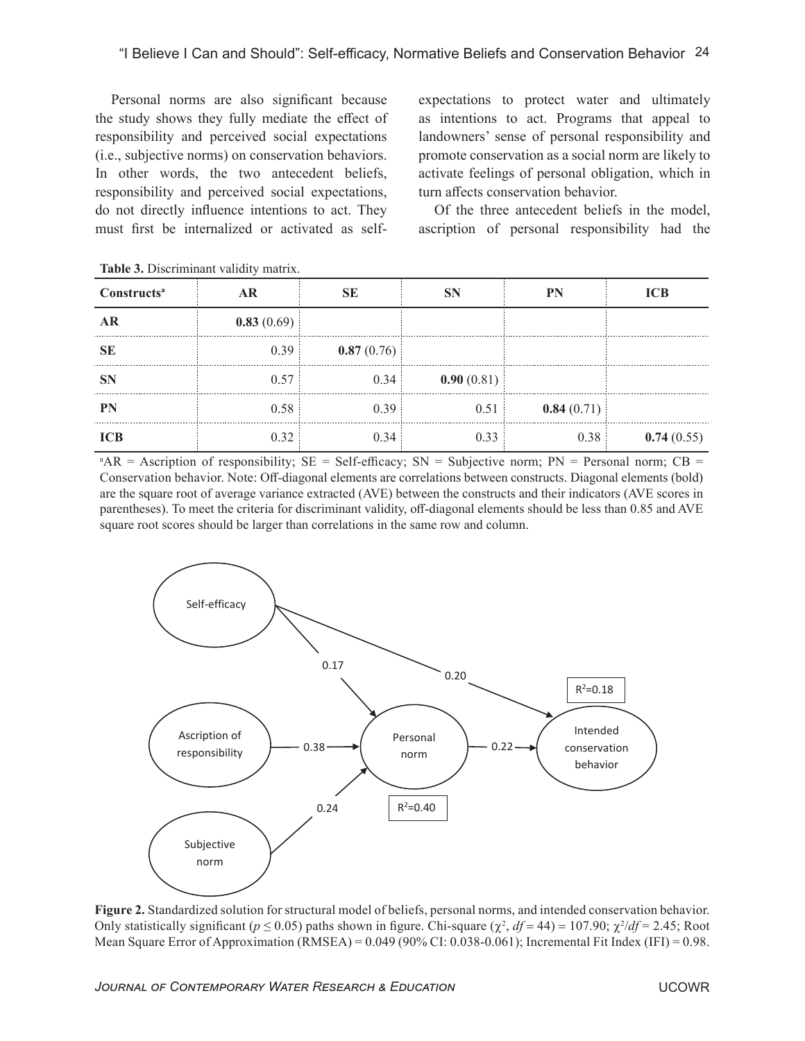Personal norms are also significant because the study shows they fully mediate the effect of responsibility and perceived social expectations (i.e., subjective norms) on conservation behaviors. In other words, the two antecedent beliefs, responsibility and perceived social expectations, do not directly influence intentions to act. They must first be internalized or activated as selfexpectations to protect water and ultimately as intentions to act. Programs that appeal to landowners' sense of personal responsibility and promote conservation as a social norm are likely to activate feelings of personal obligation, which in turn affects conservation behavior.

Of the three antecedent beliefs in the model, ascription of personal responsibility had the

| Constructs <sup>a</sup> |            |            |            | PN         | ICB        |
|-------------------------|------------|------------|------------|------------|------------|
|                         | 0.83(0.69) |            |            |            |            |
|                         | 0.39       | 0.87(0.76) |            |            |            |
|                         | 0.57       | 0.34       | 0.90(0.81) |            |            |
|                         | 0.58       | በ 39       | 0.51       | 0.84(0.71) |            |
|                         | 0.32       |            |            | 0.38       | 0.74(0.55) |

**Table 3.** Discriminant validity matrix.

 $A^A$ AR = Ascription of responsibility; SE = Self-efficacy; SN = Subjective norm; PN = Personal norm; CB = Conservation behavior. Note: Off-diagonal elements are correlations between constructs. Diagonal elements (bold) are the square root of average variance extracted (AVE) between the constructs and their indicators (AVE scores in parentheses). To meet the criteria for discriminant validity, off-diagonal elements should be less than 0.85 and AVE square root scores should be larger than correlations in the same row and column.



**Figure 2.** Standardized solution for structural model of beliefs, personal norms, and intended conservation behavior. Only statistically significant ( $p \le 0.05$ ) paths shown in figure. Chi-square ( $\chi^2$ ,  $df = 44$ ) = 107.90;  $\chi^2/df = 2.45$ ; Root Mean Square Error of Approximation (RMSEA) = 0.049 (90% CI: 0.038-0.061); Incremental Fit Index (IFI) = 0.98.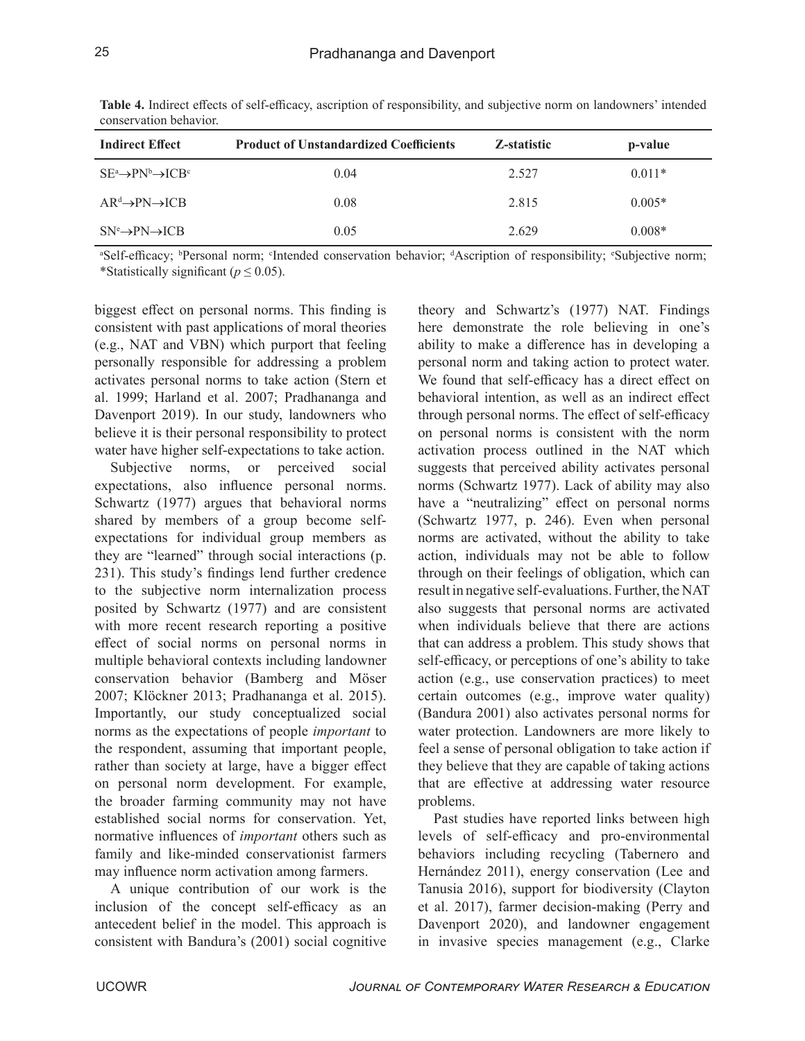| <b>Indirect Effect</b>                    | <b>Product of Unstandardized Coefficients</b> | Z-statistic | p-value  |
|-------------------------------------------|-----------------------------------------------|-------------|----------|
| $SE^a \rightarrow PN^b \rightarrow ICB^c$ | 0.04                                          | 2.527       | $0.011*$ |
| $AR^d \rightarrow PN \rightarrow ICB$     | 0.08                                          | 2.815       | $0.005*$ |
| $SN^e \rightarrow PN \rightarrow ICB$     | 0.05                                          | 2.629       | $0.008*$ |

**Table 4.** Indirect effects of self-efficacy, ascription of responsibility, and subjective norm on landowners' intended conservation behavior.

"Self-efficacy; <sup>b</sup>Personal norm; <sup>c</sup>Intended conservation behavior; <sup>d</sup>Ascription of responsibility; "Subjective norm; \*Statistically significant ( $p \leq 0.05$ ).

biggest effect on personal norms. This finding is consistent with past applications of moral theories (e.g., NAT and VBN) which purport that feeling personally responsible for addressing a problem activates personal norms to take action (Stern et al. 1999; Harland et al. 2007; Pradhananga and Davenport 2019). In our study, landowners who believe it is their personal responsibility to protect water have higher self-expectations to take action.

Subjective norms, or perceived social expectations, also influence personal norms. Schwartz (1977) argues that behavioral norms shared by members of a group become selfexpectations for individual group members as they are "learned" through social interactions (p. 231). This study's findings lend further credence to the subjective norm internalization process posited by Schwartz (1977) and are consistent with more recent research reporting a positive effect of social norms on personal norms in multiple behavioral contexts including landowner conservation behavior (Bamberg and Möser 2007; Klöckner 2013; Pradhananga et al. 2015). Importantly, our study conceptualized social norms as the expectations of people *important* to the respondent, assuming that important people, rather than society at large, have a bigger effect on personal norm development. For example, the broader farming community may not have established social norms for conservation. Yet, normative influences of *important* others such as family and like-minded conservationist farmers may influence norm activation among farmers.

A unique contribution of our work is the inclusion of the concept self-efficacy as an antecedent belief in the model. This approach is consistent with Bandura's (2001) social cognitive theory and Schwartz's (1977) NAT. Findings here demonstrate the role believing in one's ability to make a difference has in developing a personal norm and taking action to protect water. We found that self-efficacy has a direct effect on behavioral intention, as well as an indirect effect through personal norms. The effect of self-efficacy on personal norms is consistent with the norm activation process outlined in the NAT which suggests that perceived ability activates personal norms (Schwartz 1977). Lack of ability may also have a "neutralizing" effect on personal norms (Schwartz 1977, p. 246). Even when personal norms are activated, without the ability to take action, individuals may not be able to follow through on their feelings of obligation, which can result in negative self-evaluations. Further, the NAT also suggests that personal norms are activated when individuals believe that there are actions that can address a problem. This study shows that self-efficacy, or perceptions of one's ability to take action (e.g., use conservation practices) to meet certain outcomes (e.g., improve water quality) (Bandura 2001) also activates personal norms for water protection. Landowners are more likely to feel a sense of personal obligation to take action if they believe that they are capable of taking actions that are effective at addressing water resource problems.

Past studies have reported links between high levels of self-efficacy and pro-environmental behaviors including recycling (Tabernero and Hernández 2011), energy conservation (Lee and Tanusia 2016), support for biodiversity (Clayton et al. 2017), farmer decision-making (Perry and Davenport 2020), and landowner engagement in invasive species management (e.g., Clarke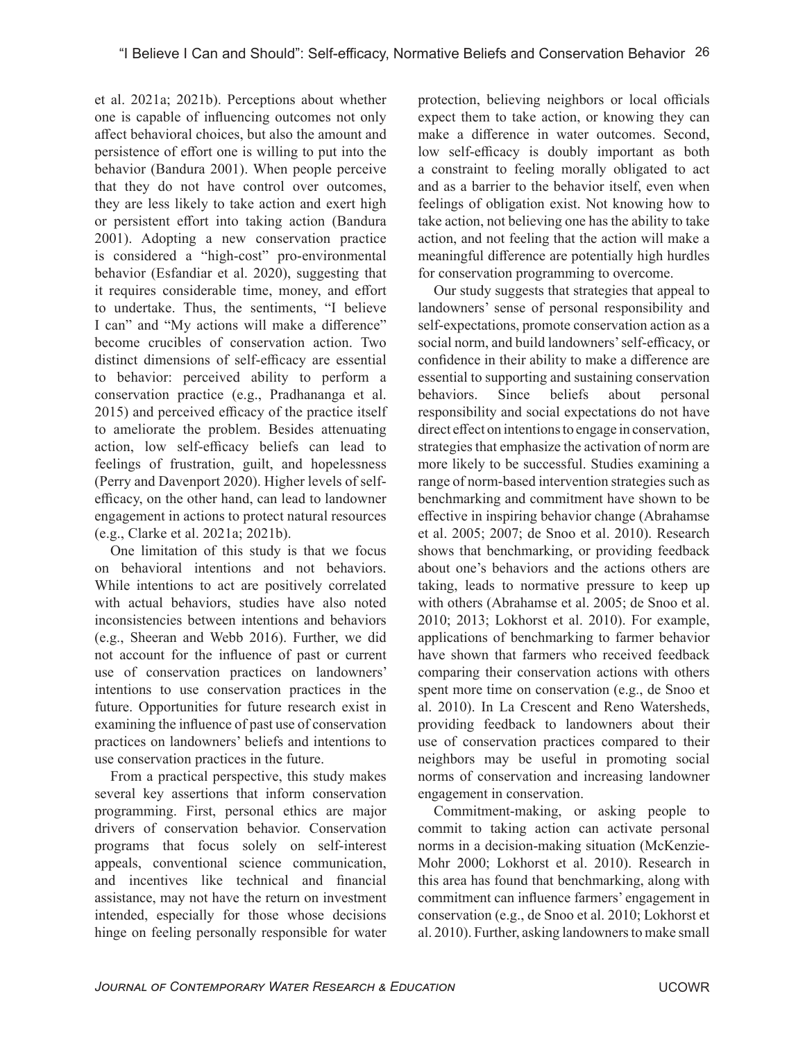et al. 2021a; 2021b). Perceptions about whether one is capable of influencing outcomes not only affect behavioral choices, but also the amount and persistence of effort one is willing to put into the behavior (Bandura 2001). When people perceive that they do not have control over outcomes, they are less likely to take action and exert high or persistent effort into taking action (Bandura 2001). Adopting a new conservation practice is considered a "high-cost" pro-environmental behavior (Esfandiar et al. 2020), suggesting that it requires considerable time, money, and effort to undertake. Thus, the sentiments, "I believe I can" and "My actions will make a difference" become crucibles of conservation action. Two distinct dimensions of self-efficacy are essential to behavior: perceived ability to perform a conservation practice (e.g., Pradhananga et al. 2015) and perceived efficacy of the practice itself to ameliorate the problem. Besides attenuating action, low self-efficacy beliefs can lead to feelings of frustration, guilt, and hopelessness (Perry and Davenport 2020). Higher levels of selfefficacy, on the other hand, can lead to landowner engagement in actions to protect natural resources (e.g., Clarke et al. 2021a; 2021b).

One limitation of this study is that we focus on behavioral intentions and not behaviors. While intentions to act are positively correlated with actual behaviors, studies have also noted inconsistencies between intentions and behaviors (e.g., Sheeran and Webb 2016). Further, we did not account for the influence of past or current use of conservation practices on landowners' intentions to use conservation practices in the future. Opportunities for future research exist in examining the influence of past use of conservation practices on landowners' beliefs and intentions to use conservation practices in the future.

From a practical perspective, this study makes several key assertions that inform conservation programming. First, personal ethics are major drivers of conservation behavior. Conservation programs that focus solely on self-interest appeals, conventional science communication, and incentives like technical and financial assistance, may not have the return on investment intended, especially for those whose decisions hinge on feeling personally responsible for water

protection, believing neighbors or local officials expect them to take action, or knowing they can make a difference in water outcomes. Second, low self-efficacy is doubly important as both a constraint to feeling morally obligated to act and as a barrier to the behavior itself, even when feelings of obligation exist. Not knowing how to take action, not believing one has the ability to take action, and not feeling that the action will make a meaningful difference are potentially high hurdles for conservation programming to overcome.

Our study suggests that strategies that appeal to landowners' sense of personal responsibility and self-expectations, promote conservation action as a social norm, and build landowners' self-efficacy, or confidence in their ability to make a difference are essential to supporting and sustaining conservation behaviors. Since beliefs about personal responsibility and social expectations do not have direct effect on intentions to engage in conservation, strategies that emphasize the activation of norm are more likely to be successful. Studies examining a range of norm-based intervention strategies such as benchmarking and commitment have shown to be effective in inspiring behavior change (Abrahamse et al. 2005; 2007; de Snoo et al. 2010). Research shows that benchmarking, or providing feedback about one's behaviors and the actions others are taking, leads to normative pressure to keep up with others (Abrahamse et al. 2005; de Snoo et al. 2010; 2013; Lokhorst et al. 2010). For example, applications of benchmarking to farmer behavior have shown that farmers who received feedback comparing their conservation actions with others spent more time on conservation (e.g., de Snoo et al. 2010). In La Crescent and Reno Watersheds, providing feedback to landowners about their use of conservation practices compared to their neighbors may be useful in promoting social norms of conservation and increasing landowner engagement in conservation.

Commitment-making, or asking people to commit to taking action can activate personal norms in a decision-making situation (McKenzie-Mohr 2000; Lokhorst et al. 2010). Research in this area has found that benchmarking, along with commitment can influence farmers' engagement in conservation (e.g., de Snoo et al. 2010; Lokhorst et al. 2010). Further, asking landowners to make small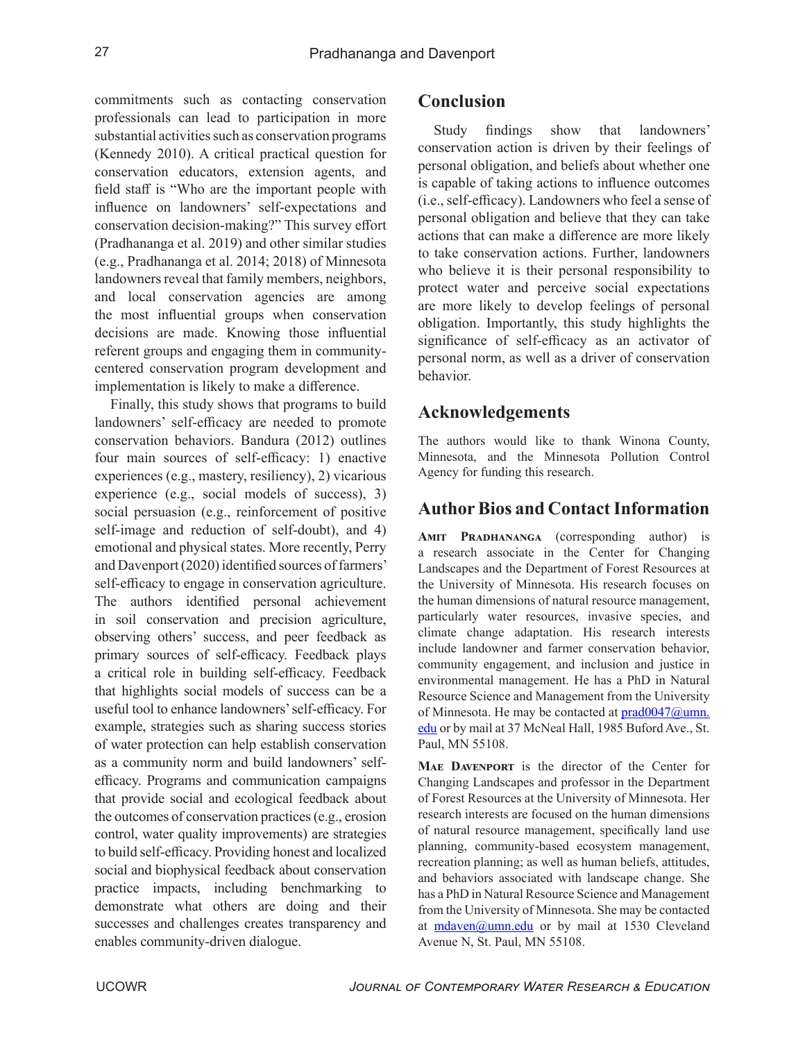commitments such as contacting conservation professionals can lead to participation in more substantial activities such as conservation programs (Kennedy 2010). A critical practical question for conservation educators, extension agents, and field staff is "Who are the important people with influence on landowners' self-expectations and conservation decision-making?" This survey effort (Pradhananga et al. 2019) and other similar studies (e.g., Pradhananga et al. 2014; 2018) of Minnesota landowners reveal that family members, neighbors, and local conservation agencies are among the most influential groups when conservation decisions are made. Knowing those influential referent groups and engaging them in communitycentered conservation program development and implementation is likely to make a difference.

Finally, this study shows that programs to build landowners' self-efficacy are needed to promote conservation behaviors. Bandura (2012) outlines four main sources of self-efficacy: 1) enactive experiences (e.g., mastery, resiliency), 2) vicarious experience (e.g., social models of success), 3) social persuasion (e.g., reinforcement of positive self-image and reduction of self-doubt), and 4) emotional and physical states. More recently, Perry and Davenport (2020) identified sources of farmers' self-efficacy to engage in conservation agriculture. The authors identified personal achievement in soil conservation and precision agriculture, observing others' success, and peer feedback as primary sources of self-efficacy. Feedback plays a critical role in building self-efficacy. Feedback that highlights social models of success can be a useful tool to enhance landowners' self-efficacy. For example, strategies such as sharing success stories of water protection can help establish conservation as a community norm and build landowners' selfefficacy. Programs and communication campaigns that provide social and ecological feedback about the outcomes of conservation practices (e.g., erosion control, water quality improvements) are strategies to build self-efficacy. Providing honest and localized social and biophysical feedback about conservation practice impacts, including benchmarking to demonstrate what others are doing and their successes and challenges creates transparency and enables community-driven dialogue.

## **Conclusion**

Study findings show that landowners' conservation action is driven by their feelings of personal obligation, and beliefs about whether one is capable of taking actions to influence outcomes (i.e., self-efficacy). Landowners who feel a sense of personal obligation and believe that they can take actions that can make a difference are more likely to take conservation actions. Further, landowners who believe it is their personal responsibility to protect water and perceive social expectations are more likely to develop feelings of personal obligation. Importantly, this study highlights the significance of self-efficacy as an activator of personal norm, as well as a driver of conservation behavior.

## **Acknowledgements**

The authors would like to thank Winona County, Minnesota, and the Minnesota Pollution Control Agency for funding this research.

# **Author Bios and Contact Information**

**Amit Pradhananga** (corresponding author) is a research associate in the Center for Changing Landscapes and the Department of Forest Resources at the University of Minnesota. His research focuses on the human dimensions of natural resource management, particularly water resources, invasive species, and climate change adaptation. His research interests include landowner and farmer conservation behavior, community engagement, and inclusion and justice in environmental management. He has a PhD in Natural Resource Science and Management from the University of Minnesota. He may be contacted at [prad0047@umn.](mailto:prad0047%40umn.edu?subject=) [edu](mailto:prad0047%40umn.edu?subject=) or by mail at 37 McNeal Hall, 1985 Buford Ave., St. Paul, MN 55108.

**Mae Davenport** is the director of the Center for Changing Landscapes and professor in the Department of Forest Resources at the University of Minnesota. Her research interests are focused on the human dimensions of natural resource management, specifically land use planning, community-based ecosystem management, recreation planning; as well as human beliefs, attitudes, and behaviors associated with landscape change. She has a PhD in Natural Resource Science and Management from the University of Minnesota. She may be contacted at  $mdaven@umm.edu$  or by mail at 1530 Cleveland Avenue N, St. Paul, MN 55108.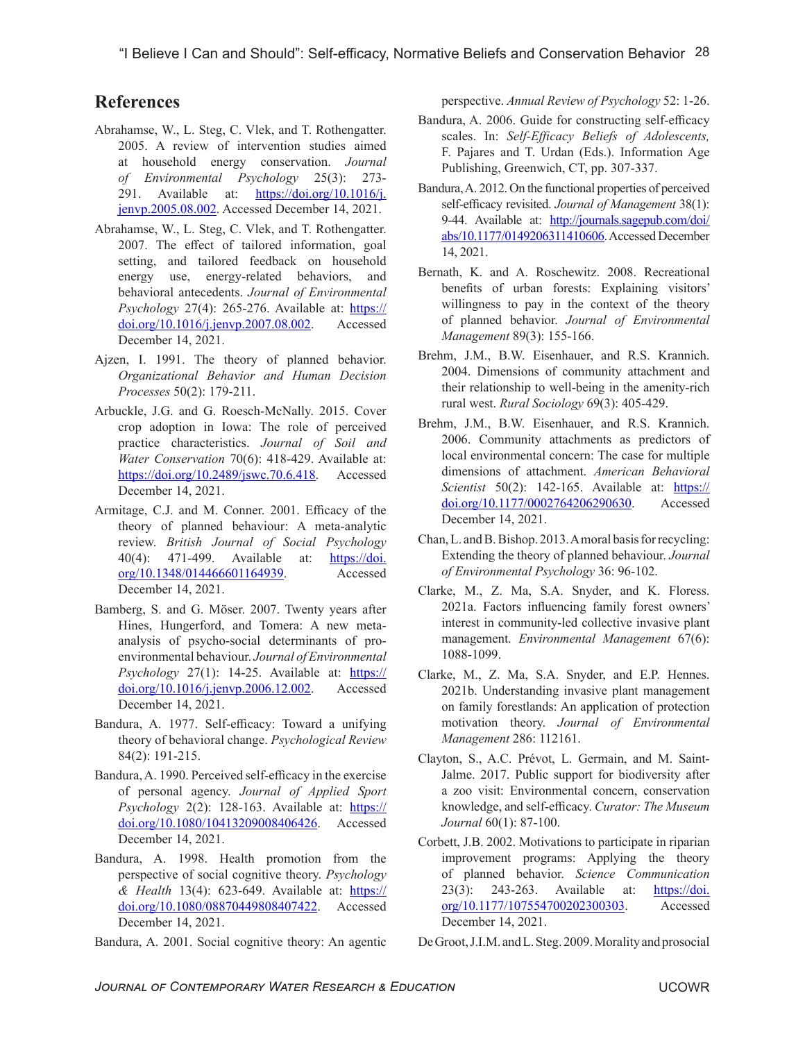## **References**

- Abrahamse, W., L. Steg, C. Vlek, and T. Rothengatter. 2005. A review of intervention studies aimed at household energy conservation. *Journal of Environmental Psychology* 25(3): 273- 291. Available at:  $\frac{https://doi.org/10.1016/j.}{https://doi.org/10.1016/j.}$  $\frac{https://doi.org/10.1016/j.}{https://doi.org/10.1016/j.}$  $\frac{https://doi.org/10.1016/j.}{https://doi.org/10.1016/j.}$ [jenvp.2005.08.002.](https://doi.org/10.1016/j.jenvp.2005.08.002) Accessed December 14, 2021.
- Abrahamse, W., L. Steg, C. Vlek, and T. Rothengatter. 2007. The effect of tailored information, goal setting, and tailored feedback on household energy use, energy-related behaviors, and behavioral antecedents. *Journal of Environmental Psychology* 27(4): 265-276. Available at: [https://](https://doi.org/10.1016/j.jenvp.2007.08.002) [doi.org/10.1016/j.jenvp.2007.08.002](https://doi.org/10.1016/j.jenvp.2007.08.002). Accessed December 14, 2021.
- Ajzen, I. 1991. The theory of planned behavior. *Organizational Behavior and Human Decision Processes* 50(2): 179-211.
- Arbuckle, J.G. and G. Roesch-McNally. 2015. Cover crop adoption in Iowa: The role of perceived practice characteristics. *Journal of Soil and Water Conservation* 70(6): 418-429. Available at: <https://doi.org/10.2489/jswc.70.6.418>. Accessed December 14, 2021.
- Armitage, C.J. and M. Conner. 2001. Efficacy of the theory of planned behaviour: A meta-analytic review. *British Journal of Social Psychology* 40(4): 471-499. Available at: [https://doi.](https://doi.org/10.1348/014466601164939) [org/10.1348/014466601164939.](https://doi.org/10.1348/014466601164939) Accessed December 14, 2021.
- Bamberg, S. and G. Möser. 2007. Twenty years after Hines, Hungerford, and Tomera: A new metaanalysis of psycho-social determinants of proenvironmental behaviour. *Journal of Environmental Psychology* 27(1): 14-25. Available at: [https://](https://doi.org/10.1016/j.jenvp.2006.12.002) [doi.org/10.1016/j.jenvp.2006.12.002](https://doi.org/10.1016/j.jenvp.2006.12.002). Accessed December 14, 2021.
- Bandura, A. 1977. Self-efficacy: Toward a unifying theory of behavioral change. *Psychological Review*  84(2): 191-215.
- Bandura, A. 1990. Perceived self-efficacy in the exercise of personal agency. *Journal of Applied Sport Psychology* 2(2): 128-163. Available at: [https://](https://doi.org/10.1080/10413209008406426) [doi.org/10.1080/10413209008406426](https://doi.org/10.1080/10413209008406426). Accessed December 14, 2021.
- Bandura, A. 1998. Health promotion from the perspective of social cognitive theory. *Psychology & Health* 13(4): 623-649. Available at: [https://](https://doi.org/10.1080/08870449808407422) [doi.org/10.1080/08870449808407422](https://doi.org/10.1080/08870449808407422). Accessed December 14, 2021.
- Bandura, A. 2001. Social cognitive theory: An agentic

perspective. *Annual Review of Psychology* 52: 1-26.

- Bandura, A. 2006. Guide for constructing self-efficacy scales. In: *Self-Efficacy Beliefs of Adolescents,*  F. Pajares and T. Urdan (Eds.). Information Age Publishing, Greenwich, CT, pp. 307-337.
- Bandura, A. 2012. On the functional properties of perceived self-efficacy revisited. *Journal of Management* 38(1): 9-44. Available at: [http://journals.sagepub.com/doi/](http://journals.sagepub.com/doi/abs/10.1177/0149206311410606) [abs/10.1177/0149206311410606.](http://journals.sagepub.com/doi/abs/10.1177/0149206311410606) Accessed December 14, 2021.
- Bernath, K. and A. Roschewitz. 2008. Recreational benefits of urban forests: Explaining visitors' willingness to pay in the context of the theory of planned behavior. *Journal of Environmental Management* 89(3): 155-166.
- Brehm, J.M., B.W. Eisenhauer, and R.S. Krannich. 2004. Dimensions of community attachment and their relationship to well-being in the amenity-rich rural west. *Rural Sociology* 69(3): 405-429.
- Brehm, J.M., B.W. Eisenhauer, and R.S. Krannich. 2006. Community attachments as predictors of local environmental concern: The case for multiple dimensions of attachment. *American Behavioral Scientist* 50(2): 142-165. Available at: [https://](https://doi.org/10.1177/0002764206290630) [doi.org/10.1177/0002764206290630.](https://doi.org/10.1177/0002764206290630) Accessed December 14, 2021.
- Chan, L. and B. Bishop. 2013. A moral basis for recycling: Extending the theory of planned behaviour. *Journal of Environmental Psychology* 36: 96-102.
- Clarke, M., Z. Ma, S.A. Snyder, and K. Floress. 2021a. Factors influencing family forest owners' interest in community-led collective invasive plant management. *Environmental Management* 67(6): 1088-1099.
- Clarke, M., Z. Ma, S.A. Snyder, and E.P. Hennes. 2021b. Understanding invasive plant management on family forestlands: An application of protection motivation theory. *Journal of Environmental Management* 286: 112161.
- Clayton, S., A.C. Prévot, L. Germain, and M. Saint-Jalme. 2017. Public support for biodiversity after a zoo visit: Environmental concern, conservation knowledge, and self-efficacy. *Curator: The Museum Journal* 60(1): 87-100.
- Corbett, J.B. 2002. Motivations to participate in riparian improvement programs: Applying the theory of planned behavior. *Science Communication*  23(3): 243-263. Available at: [https://doi.](https://doi.org/10.1177/107554700202300303) [org/10.1177/107554700202300303](https://doi.org/10.1177/107554700202300303). Accessed December 14, 2021.

De Groot, J.I.M. and L. Steg. 2009. Morality and prosocial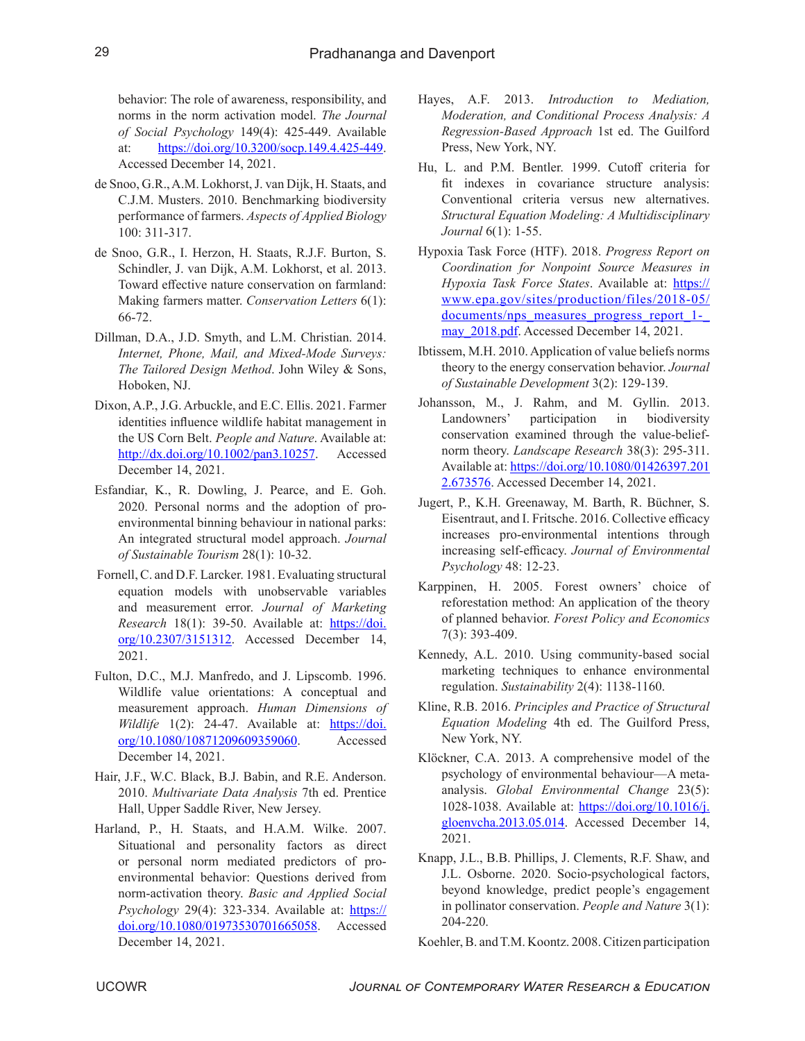behavior: The role of awareness, responsibility, and norms in the norm activation model. *The Journal of Social Psychology* 149(4): 425-449. Available at: <https://doi.org/10.3200/socp.149.4.425-449>. Accessed December 14, 2021.

- de Snoo, G.R., A.M. Lokhorst, J. van Dijk, H. Staats, and C.J.M. Musters. 2010. Benchmarking biodiversity performance of farmers. *Aspects of Applied Biology*  100: 311-317.
- de Snoo, G.R., I. Herzon, H. Staats, R.J.F. Burton, S. Schindler, J. van Dijk, A.M. Lokhorst, et al. 2013. Toward effective nature conservation on farmland: Making farmers matter. *Conservation Letters* 6(1): 66-72.
- Dillman, D.A., J.D. Smyth, and L.M. Christian. 2014. *Internet, Phone, Mail, and Mixed-Mode Surveys: The Tailored Design Method*. John Wiley & Sons, Hoboken, NJ.
- Dixon, A.P., J.G. Arbuckle, and E.C. Ellis. 2021. Farmer identities influence wildlife habitat management in the US Corn Belt. *People and Nature*. Available at: [http://dx.doi.org/10.1002/pan3.10257.](http://dx.doi.org/10.1002/pan3.10257) Accessed December 14, 2021.
- Esfandiar, K., R. Dowling, J. Pearce, and E. Goh. 2020. Personal norms and the adoption of proenvironmental binning behaviour in national parks: An integrated structural model approach. *Journal of Sustainable Tourism* 28(1): 10-32.
- Fornell, C. and D.F. Larcker. 1981. Evaluating structural equation models with unobservable variables and measurement error. *Journal of Marketing Research* 18(1): 39-50. Available at: [https://doi.](https://doi.org/10.2307/3151312) [org/10.2307/3151312](https://doi.org/10.2307/3151312). Accessed December 14, 2021.
- Fulton, D.C., M.J. Manfredo, and J. Lipscomb. 1996. Wildlife value orientations: A conceptual and measurement approach. *Human Dimensions of Wildlife* 1(2): 24-47. Available at: [https://doi.](https://doi.org/10.1080/10871209609359060) [org/10.1080/10871209609359060](https://doi.org/10.1080/10871209609359060). Accessed December 14, 2021.
- Hair, J.F., W.C. Black, B.J. Babin, and R.E. Anderson. 2010. *Multivariate Data Analysis* 7th ed. Prentice Hall, Upper Saddle River, New Jersey.
- Harland, P., H. Staats, and H.A.M. Wilke. 2007. Situational and personality factors as direct or personal norm mediated predictors of proenvironmental behavior: Questions derived from norm-activation theory. *Basic and Applied Social Psychology* 29(4): 323-334. Available at: [https://](https://doi.org/10.1080/01973530701665058) [doi.org/10.1080/01973530701665058](https://doi.org/10.1080/01973530701665058). Accessed December 14, 2021.
- Hayes, A.F. 2013. *Introduction to Mediation, Moderation, and Conditional Process Analysis: A Regression-Based Approach* 1st ed. The Guilford Press, New York, NY.
- Hu, L. and P.M. Bentler. 1999. Cutoff criteria for fit indexes in covariance structure analysis: Conventional criteria versus new alternatives. *Structural Equation Modeling: A Multidisciplinary Journal* 6(1): 1-55.
- Hypoxia Task Force (HTF). 2018. *Progress Report on Coordination for Nonpoint Source Measures in Hypoxia Task Force States*. Available at: [https://](https://www.epa.gov/sites/production/files/2018-05/documents/nps_measures_progress_report_1-_may_2018.pdf) [www.epa.gov/sites/production/files/2018-05/](https://www.epa.gov/sites/production/files/2018-05/documents/nps_measures_progress_report_1-_may_2018.pdf) documents/nps\_measures\_progress\_report\_1may 2018.pdf. Accessed December 14, 2021.
- Ibtissem, M.H. 2010. Application of value beliefs norms theory to the energy conservation behavior. *Journal of Sustainable Development* 3(2): 129-139.
- Johansson, M., J. Rahm, and M. Gyllin. 2013. Landowners' participation in biodiversity conservation examined through the value-beliefnorm theory. *Landscape Research* 38(3): 295-311. Available at: [https://doi.org/10.1080/01426397.201](https://doi.org/10.1080/01426397.2012.673576) [2.673576.](https://doi.org/10.1080/01426397.2012.673576) Accessed December 14, 2021.
- Jugert, P., K.H. Greenaway, M. Barth, R. Büchner, S. Eisentraut, and I. Fritsche. 2016. Collective efficacy increases pro-environmental intentions through increasing self-efficacy. *Journal of Environmental Psychology* 48: 12-23.
- Karppinen, H. 2005. Forest owners' choice of reforestation method: An application of the theory of planned behavior. *Forest Policy and Economics*  7(3): 393-409.
- Kennedy, A.L. 2010. Using community-based social marketing techniques to enhance environmental regulation. *Sustainability* 2(4): 1138-1160.
- Kline, R.B. 2016. *Principles and Practice of Structural Equation Modeling* 4th ed. The Guilford Press, New York, NY.
- Klöckner, C.A. 2013. A comprehensive model of the psychology of environmental behaviour—A metaanalysis. *Global Environmental Change* 23(5): 1028-1038. Available at: [https://doi.org/10.1016/j.](https://doi.org/10.1016/j.gloenvcha.2013.05.014) [gloenvcha.2013.05.014.](https://doi.org/10.1016/j.gloenvcha.2013.05.014) Accessed December 14, 2021.
- Knapp, J.L., B.B. Phillips, J. Clements, R.F. Shaw, and J.L. Osborne. 2020. Socio-psychological factors, beyond knowledge, predict people's engagement in pollinator conservation. *People and Nature* 3(1): 204-220.

Koehler, B. and T.M. Koontz. 2008. Citizen participation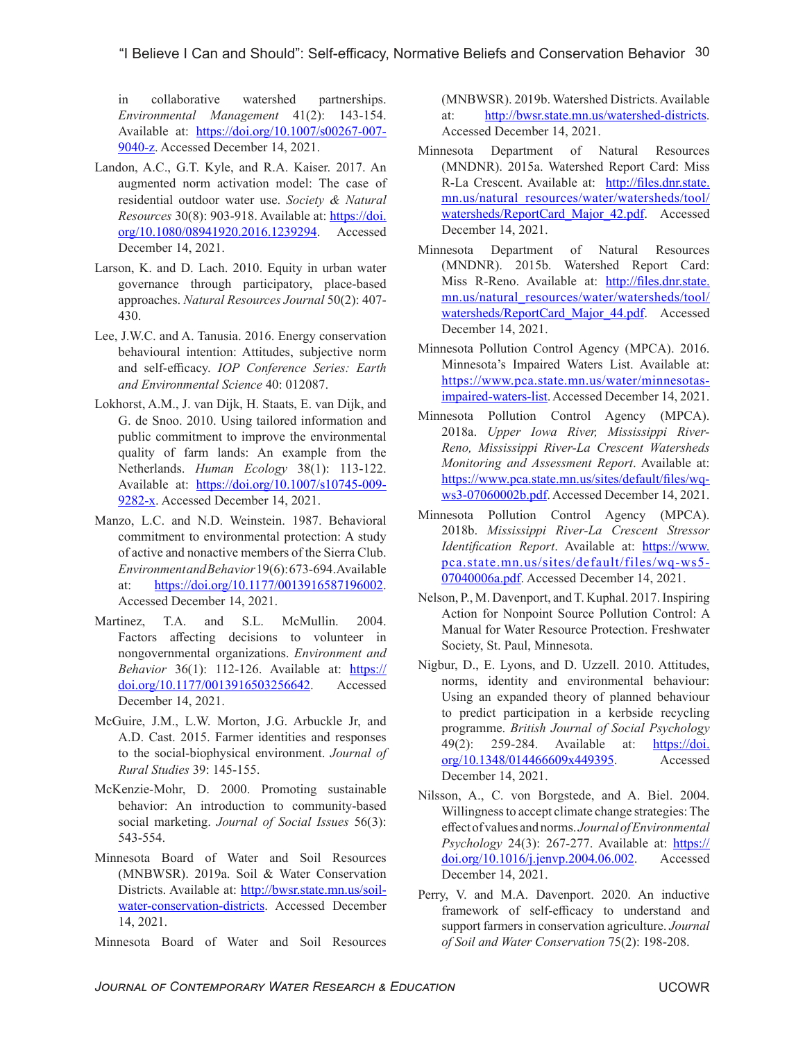in collaborative watershed partnerships. *Environmental Management* 41(2): 143-154. Available at: [https://doi.org/10.1007/s00267-007-](https://doi.org/10.1007/s00267-007-9040-z) [9040-z](https://doi.org/10.1007/s00267-007-9040-z). Accessed December 14, 2021.

- Landon, A.C., G.T. Kyle, and R.A. Kaiser. 2017. An augmented norm activation model: The case of residential outdoor water use. *Society & Natural Resources* 30(8): 903-918. Available at: [https://doi.](https://doi.org/10.1080/08941920.2016.1239294) [org/10.1080/08941920.2016.1239294](https://doi.org/10.1080/08941920.2016.1239294). Accessed December 14, 2021.
- Larson, K. and D. Lach. 2010. Equity in urban water governance through participatory, place-based approaches. *Natural Resources Journal* 50(2): 407- 430.
- Lee, J.W.C. and A. Tanusia. 2016. Energy conservation behavioural intention: Attitudes, subjective norm and self-efficacy. *IOP Conference Series: Earth and Environmental Science* 40: 012087.
- Lokhorst, A.M., J. van Dijk, H. Staats, E. van Dijk, and G. de Snoo. 2010. Using tailored information and public commitment to improve the environmental quality of farm lands: An example from the Netherlands. *Human Ecology* 38(1): 113-122. Available at: [https://doi.org/10.1007/s10745-009-](https://doi.org/10.1007/s10745-009-9282-x) [9282-x](https://doi.org/10.1007/s10745-009-9282-x). Accessed December 14, 2021.
- Manzo, L.C. and N.D. Weinstein. 1987. Behavioral commitment to environmental protection: A study of active and nonactive members of the Sierra Club. *Environment and Behavior* 19(6): 673-694. Available at: [https://doi.org/10.1177/0013916587196002.](https://doi.org/10.1177/0013916587196002) Accessed December 14, 2021.
- Martinez, T.A. and S.L. McMullin. 2004. Factors affecting decisions to volunteer in nongovernmental organizations. *Environment and Behavior* 36(1): 112-126. Available at: [https://](https://doi.org/10.1177/0013916503256642) [doi.org/10.1177/0013916503256642](https://doi.org/10.1177/0013916503256642). Accessed December 14, 2021.
- McGuire, J.M., L.W. Morton, J.G. Arbuckle Jr, and A.D. Cast. 2015. Farmer identities and responses to the social-biophysical environment. *Journal of Rural Studies* 39: 145-155.
- McKenzie-Mohr, D. 2000. Promoting sustainable behavior: An introduction to community-based social marketing. *Journal of Social Issues* 56(3): 543-554.
- Minnesota Board of Water and Soil Resources (MNBWSR). 2019a. Soil & Water Conservation Districts. Available at: [http://bwsr.state.mn.us/soil](http://bwsr.state.mn.us/soil-water-conservation-districts)[water-conservation-districts](http://bwsr.state.mn.us/soil-water-conservation-districts). Accessed December 14, 2021.
- Minnesota Board of Water and Soil Resources

(MNBWSR). 2019b. Watershed Districts. Available at: <http://bwsr.state.mn.us/watershed-districts>. Accessed December 14, 2021.

- Minnesota Department of Natural Resources (MNDNR). 2015a. Watershed Report Card: Miss R-La Crescent. Available at: [http://files.dnr.state.](http://files.dnr.state.mn.us/natural_resources/water/watersheds/tool/watersheds/ReportCard_Major_42.pdf) [mn.us/natural\\_resources/water/watersheds/tool/](http://files.dnr.state.mn.us/natural_resources/water/watersheds/tool/watersheds/ReportCard_Major_42.pdf) [watersheds/ReportCard\\_Major\\_42.pdf](http://files.dnr.state.mn.us/natural_resources/water/watersheds/tool/watersheds/ReportCard_Major_42.pdf). Accessed December 14, 2021.
- Minnesota Department of Natural Resources (MNDNR). 2015b. Watershed Report Card: Miss R-Reno. Available at: [http://files.dnr.state.](http://files.dnr.state.mn.us/natural_resources/water/watersheds/tool/watersheds/ReportCard_Major_44.pdf) [mn.us/natural\\_resources/water/watersheds/tool/](http://files.dnr.state.mn.us/natural_resources/water/watersheds/tool/watersheds/ReportCard_Major_44.pdf) watersheds/ReportCard Major 44.pdf. Accessed December 14, 2021.
- Minnesota Pollution Control Agency (MPCA). 2016. Minnesota's Impaired Waters List. Available at: [https://www.pca.state.mn.us/water/minnesotas](https://www.pca.state.mn.us/water/minnesotas-impaired-waters-list)[impaired-waters-list](https://www.pca.state.mn.us/water/minnesotas-impaired-waters-list). Accessed December 14, 2021.
- Minnesota Pollution Control Agency (MPCA). 2018a. *Upper Iowa River, Mississippi River-Reno, Mississippi River-La Crescent Watersheds Monitoring and Assessment Report*. Available at: [https://www.pca.state.mn.us/sites/default/files/wq](https://www.pca.state.mn.us/sites/default/files/wq-ws3-07060002b.pdf)[ws3-07060002b.pdf](https://www.pca.state.mn.us/sites/default/files/wq-ws3-07060002b.pdf). Accessed December 14, 2021.
- Minnesota Pollution Control Agency (MPCA). 2018b. *Mississippi River-La Crescent Stressor Identification Report*. Available at: [https://www.](https://www.pca.state.mn.us/sites/default/files/wq-ws5-07040006a.pdf) [pca.state.mn.us/sites/default/files/wq-ws5-](https://www.pca.state.mn.us/sites/default/files/wq-ws5-07040006a.pdf) [07040006a.pdf](https://www.pca.state.mn.us/sites/default/files/wq-ws5-07040006a.pdf). Accessed December 14, 2021.
- Nelson, P., M. Davenport, and T. Kuphal. 2017. Inspiring Action for Nonpoint Source Pollution Control: A Manual for Water Resource Protection. Freshwater Society, St. Paul, Minnesota.
- Nigbur, D., E. Lyons, and D. Uzzell. 2010. Attitudes, norms, identity and environmental behaviour: Using an expanded theory of planned behaviour to predict participation in a kerbside recycling programme. *British Journal of Social Psychology*  49(2): 259-284. Available at: [https://doi.](https://doi.org/10.1348/014466609x449395) [org/10.1348/014466609x449395](https://doi.org/10.1348/014466609x449395). Accessed December 14, 2021.
- Nilsson, A., C. von Borgstede, and A. Biel. 2004. Willingness to accept climate change strategies: The effect of values and norms. *Journal of Environmental Psychology* 24(3): 267-277. Available at: [https://](https://doi.org/10.1016/j.jenvp.2004.06.002) [doi.org/10.1016/j.jenvp.2004.06.002](https://doi.org/10.1016/j.jenvp.2004.06.002). Accessed December 14, 2021.
- Perry, V. and M.A. Davenport. 2020. An inductive framework of self-efficacy to understand and support farmers in conservation agriculture. *Journal of Soil and Water Conservation* 75(2): 198-208.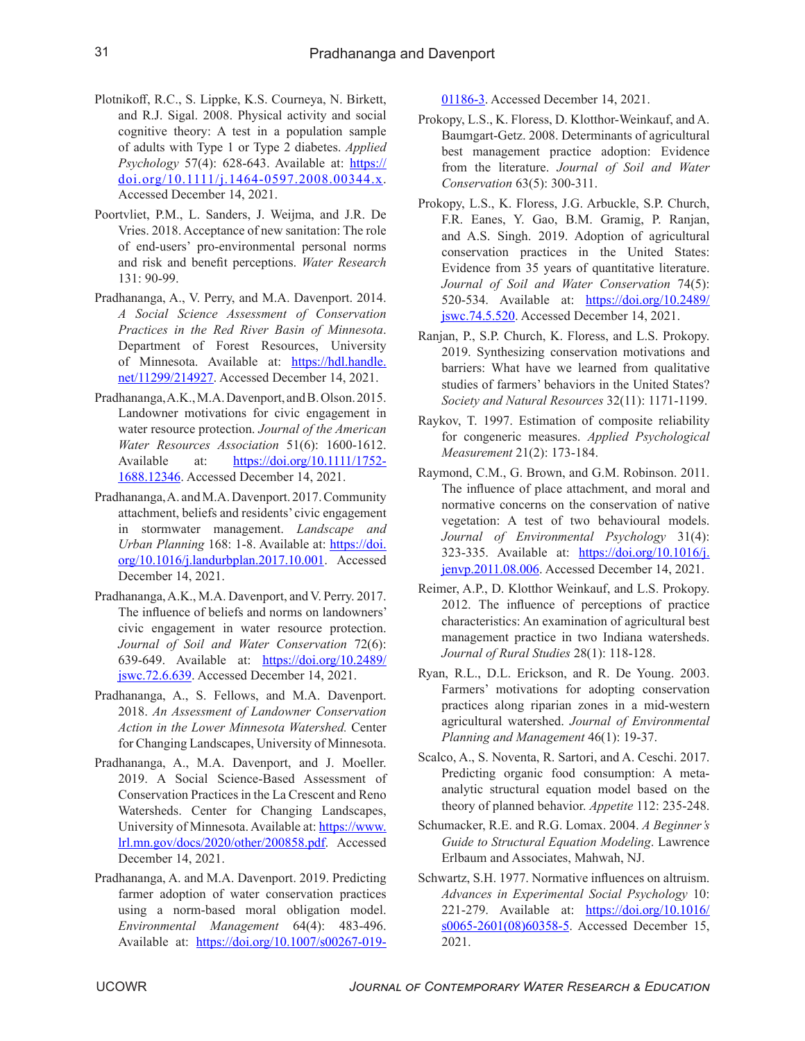- Plotnikoff, R.C., S. Lippke, K.S. Courneya, N. Birkett, and R.J. Sigal. 2008. Physical activity and social cognitive theory: A test in a population sample of adults with Type 1 or Type 2 diabetes. *Applied Psychology* 57(4): 628-643. Available at: [https://](https://doi.org/10.1111/j.1464-0597.2008.00344.x) [doi.org/10.1111/j.1464-0597.2008.00344.x](https://doi.org/10.1111/j.1464-0597.2008.00344.x). Accessed December 14, 2021.
- Poortvliet, P.M., L. Sanders, J. Weijma, and J.R. De Vries. 2018. Acceptance of new sanitation: The role of end-users' pro-environmental personal norms and risk and benefit perceptions. *Water Research*  131: 90-99.
- Pradhananga, A., V. Perry, and M.A. Davenport. 2014. *A Social Science Assessment of Conservation Practices in the Red River Basin of Minnesota*. Department of Forest Resources, University of Minnesota. Available at: [https://hdl.handle.](https://hdl.handle.net/11299/214927) [net/11299/214927](https://hdl.handle.net/11299/214927). Accessed December 14, 2021.
- Pradhananga, A.K., M.A. Davenport, and B. Olson. 2015. Landowner motivations for civic engagement in water resource protection. *Journal of the American Water Resources Association* 51(6): 1600-1612. Available at: [https://doi.org/10.1111/1752-](https://doi.org/10.1111/1752-1688.12346) [1688.12346.](https://doi.org/10.1111/1752-1688.12346) Accessed December 14, 2021.
- Pradhananga, A. and M.A. Davenport. 2017. Community attachment, beliefs and residents' civic engagement in stormwater management. *Landscape and Urban Planning* 168: 1-8. Available at: [https://doi.](https://doi.org/10.1016/j.landurbplan.2017.10.001) [org/10.1016/j.landurbplan.2017.10.001.](https://doi.org/10.1016/j.landurbplan.2017.10.001) Accessed December 14, 2021.
- Pradhananga, A.K., M.A. Davenport, and V. Perry. 2017. The influence of beliefs and norms on landowners' civic engagement in water resource protection. *Journal of Soil and Water Conservation* 72(6): 639-649. Available at: [https://doi.org/10.2489/](https://doi.org/10.2489/jswc.72.6.639) [jswc.72.6.639.](https://doi.org/10.2489/jswc.72.6.639) Accessed December 14, 2021.
- Pradhananga, A., S. Fellows, and M.A. Davenport. 2018. *An Assessment of Landowner Conservation Action in the Lower Minnesota Watershed.* Center for Changing Landscapes, University of Minnesota.
- Pradhananga, A., M.A. Davenport, and J. Moeller. 2019. A Social Science-Based Assessment of Conservation Practices in the La Crescent and Reno Watersheds. Center for Changing Landscapes, University of Minnesota. Available at: [https://www.](https://www.lrl.mn.gov/docs/2020/other/200858.pdf) [lrl.mn.gov/docs/2020/other/200858.pdf](https://www.lrl.mn.gov/docs/2020/other/200858.pdf). Accessed December 14, 2021.
- Pradhananga, A. and M.A. Davenport. 2019. Predicting farmer adoption of water conservation practices using a norm-based moral obligation model. *Environmental Management* 64(4): 483-496. Available at: [https://doi.org/10.1007/s00267-019-](https://doi.org/10.1007/s00267-019-01186-3)

[01186-3](https://doi.org/10.1007/s00267-019-01186-3). Accessed December 14, 2021.

- Prokopy, L.S., K. Floress, D. Klotthor-Weinkauf, and A. Baumgart-Getz. 2008. Determinants of agricultural best management practice adoption: Evidence from the literature. *Journal of Soil and Water Conservation* 63(5): 300-311.
- Prokopy, L.S., K. Floress, J.G. Arbuckle, S.P. Church, F.R. Eanes, Y. Gao, B.M. Gramig, P. Ranjan, and A.S. Singh. 2019. Adoption of agricultural conservation practices in the United States: Evidence from 35 years of quantitative literature. *Journal of Soil and Water Conservation* 74(5): 520-534. Available at: [https://doi.org/10.2489/](https://doi.org/10.2489/jswc.74.5.520) [jswc.74.5.520.](https://doi.org/10.2489/jswc.74.5.520) Accessed December 14, 2021.
- Ranjan, P., S.P. Church, K. Floress, and L.S. Prokopy. 2019. Synthesizing conservation motivations and barriers: What have we learned from qualitative studies of farmers' behaviors in the United States? *Society and Natural Resources* 32(11): 1171-1199.
- Raykov, T. 1997. Estimation of composite reliability for congeneric measures. *Applied Psychological Measurement* 21(2): 173-184.
- Raymond, C.M., G. Brown, and G.M. Robinson. 2011. The influence of place attachment, and moral and normative concerns on the conservation of native vegetation: A test of two behavioural models. *Journal of Environmental Psychology* 31(4): 323-335. Available at: [https://doi.org/10.1016/j.](https://doi.org/10.1016/j.jenvp.2011.08.006) [jenvp.2011.08.006](https://doi.org/10.1016/j.jenvp.2011.08.006). Accessed December 14, 2021.
- Reimer, A.P., D. Klotthor Weinkauf, and L.S. Prokopy. 2012. The influence of perceptions of practice characteristics: An examination of agricultural best management practice in two Indiana watersheds. *Journal of Rural Studies* 28(1): 118-128.
- Ryan, R.L., D.L. Erickson, and R. De Young. 2003. Farmers' motivations for adopting conservation practices along riparian zones in a mid-western agricultural watershed. *Journal of Environmental Planning and Management* 46(1): 19-37.
- Scalco, A., S. Noventa, R. Sartori, and A. Ceschi. 2017. Predicting organic food consumption: A metaanalytic structural equation model based on the theory of planned behavior. *Appetite* 112: 235-248.
- Schumacker, R.E. and R.G. Lomax. 2004. *A Beginner's Guide to Structural Equation Modeling*. Lawrence Erlbaum and Associates, Mahwah, NJ.
- Schwartz, S.H. 1977. Normative influences on altruism. *Advances in Experimental Social Psychology* 10: 221-279. Available at: [https://doi.org/10.1016/](https://doi.org/10.1016/s0065-2601(08)60358-5) [s0065-2601\(08\)60358-5](https://doi.org/10.1016/s0065-2601(08)60358-5). Accessed December 15, 2021.